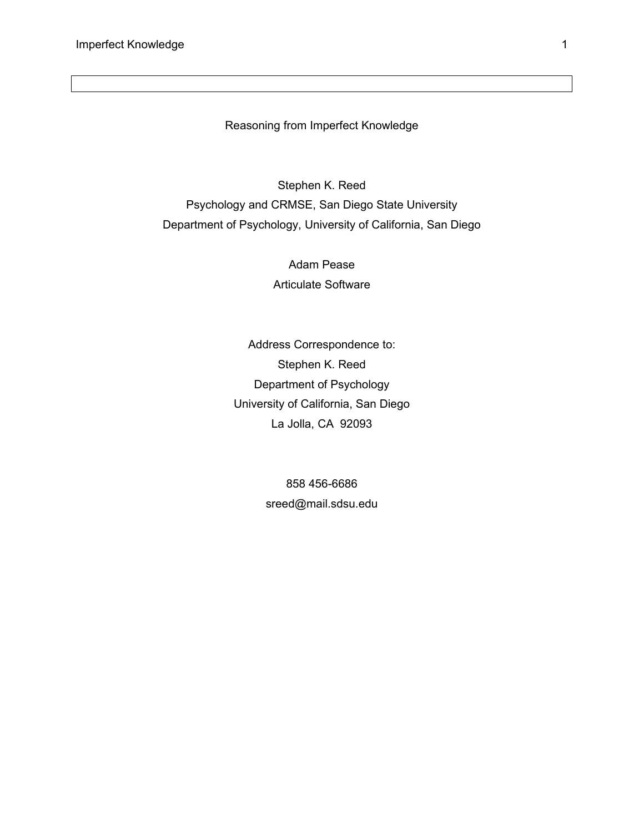Reasoning from Imperfect Knowledge

Stephen K. Reed Psychology and CRMSE, San Diego State University Department of Psychology, University of California, San Diego

> Adam Pease Articulate Software

Address Correspondence to: Stephen K. Reed Department of Psychology University of California, San Diego La Jolla, CA 92093

> 858 456-6686 sreed@mail.sdsu.edu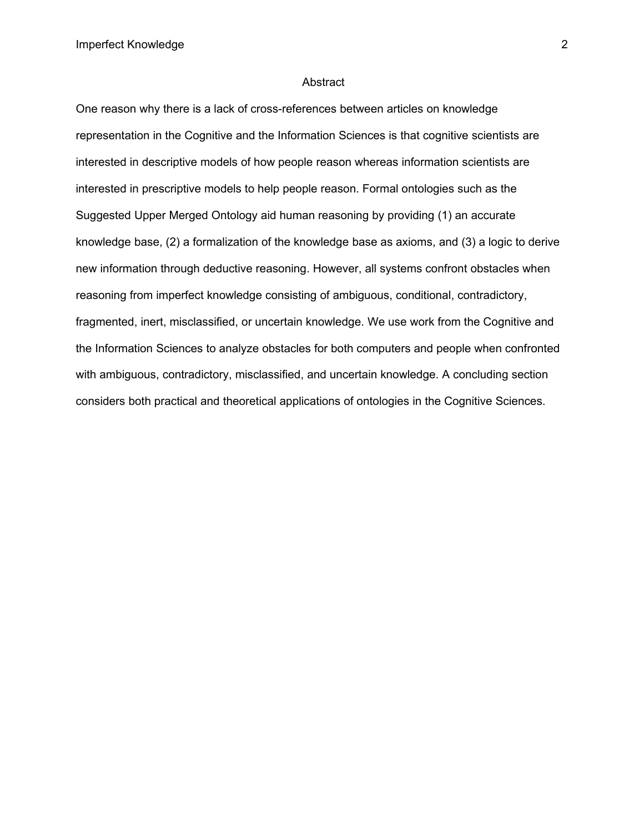#### Abstract

One reason why there is a lack of cross-references between articles on knowledge representation in the Cognitive and the Information Sciences is that cognitive scientists are interested in descriptive models of how people reason whereas information scientists are interested in prescriptive models to help people reason. Formal ontologies such as the Suggested Upper Merged Ontology aid human reasoning by providing (1) an accurate knowledge base, (2) a formalization of the knowledge base as axioms, and (3) a logic to derive new information through deductive reasoning. However, all systems confront obstacles when reasoning from imperfect knowledge consisting of ambiguous, conditional, contradictory, fragmented, inert, misclassified, or uncertain knowledge. We use work from the Cognitive and the Information Sciences to analyze obstacles for both computers and people when confronted with ambiguous, contradictory, misclassified, and uncertain knowledge. A concluding section considers both practical and theoretical applications of ontologies in the Cognitive Sciences.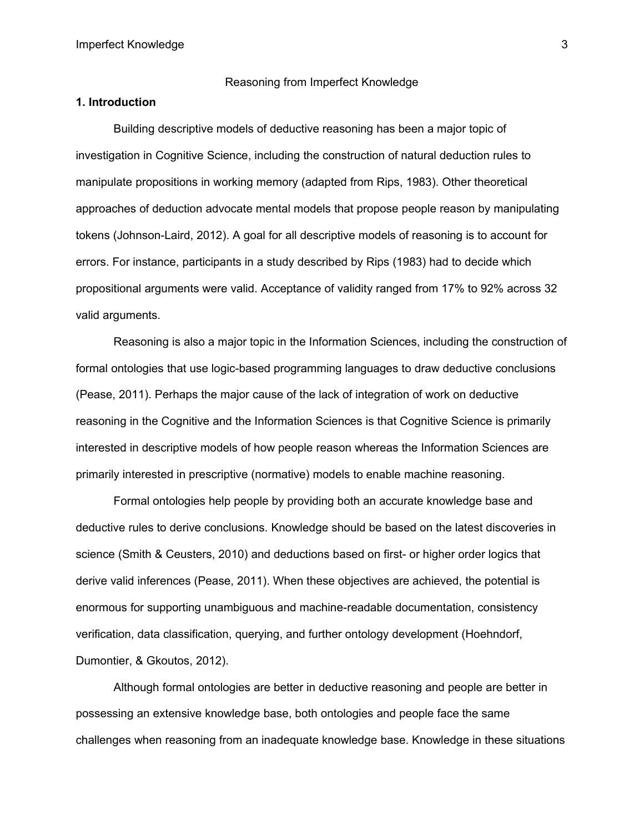#### Reasoning from Imperfect Knowledge

#### **1. Introduction**

Building descriptive models of deductive reasoning has been a major topic of investigation in Cognitive Science, including the construction of natural deduction rules to manipulate propositions in working memory (adapted from Rips, 1983). Other theoretical approaches of deduction advocate mental models that propose people reason by manipulating tokens (Johnson-Laird, 2012). A goal for all descriptive models of reasoning is to account for errors. For instance, participants in a study described by Rips (1983) had to decide which propositional arguments were valid. Acceptance of validity ranged from 17% to 92% across 32 valid arguments.

Reasoning is also a major topic in the Information Sciences, including the construction of formal ontologies that use logic-based programming languages to draw deductive conclusions (Pease, 2011). Perhaps the major cause of the lack of integration of work on deductive reasoning in the Cognitive and the Information Sciences is that Cognitive Science is primarily interested in descriptive models of how people reason whereas the Information Sciences are primarily interested in prescriptive (normative) models to enable machine reasoning.

Formal ontologies help people by providing both an accurate knowledge base and deductive rules to derive conclusions. Knowledge should be based on the latest discoveries in science (Smith & Ceusters, 2010) and deductions based on first- or higher order logics that derive valid inferences (Pease, 2011). When these objectives are achieved, the potential is enormous for supporting unambiguous and machine-readable documentation, consistency verification, data classification, querying, and further ontology development (Hoehndorf, Dumontier, & Gkoutos, 2012).

Although formal ontologies are better in deductive reasoning and people are better in possessing an extensive knowledge base, both ontologies and people face the same challenges when reasoning from an inadequate knowledge base. Knowledge in these situations

3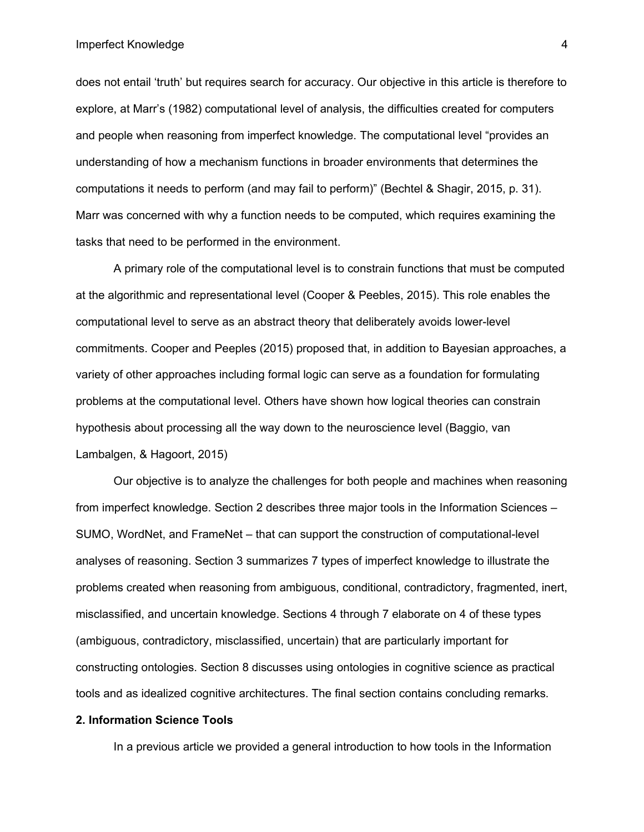#### Imperfect Knowledge

does not entail 'truth' but requires search for accuracy. Our objective in this article is therefore to explore, at Marr's (1982) computational level of analysis, the difficulties created for computers and people when reasoning from imperfect knowledge. The computational level "provides an understanding of how a mechanism functions in broader environments that determines the computations it needs to perform (and may fail to perform)" (Bechtel & Shagir, 2015, p. 31). Marr was concerned with why a function needs to be computed, which requires examining the tasks that need to be performed in the environment.

A primary role of the computational level is to constrain functions that must be computed at the algorithmic and representational level (Cooper & Peebles, 2015). This role enables the computational level to serve as an abstract theory that deliberately avoids lower-level commitments. Cooper and Peeples (2015) proposed that, in addition to Bayesian approaches, a variety of other approaches including formal logic can serve as a foundation for formulating problems at the computational level. Others have shown how logical theories can constrain hypothesis about processing all the way down to the neuroscience level (Baggio, van Lambalgen, & Hagoort, 2015)

Our objective is to analyze the challenges for both people and machines when reasoning from imperfect knowledge. Section 2 describes three major tools in the Information Sciences – SUMO, WordNet, and FrameNet – that can support the construction of computational-level analyses of reasoning. Section 3 summarizes 7 types of imperfect knowledge to illustrate the problems created when reasoning from ambiguous, conditional, contradictory, fragmented, inert, misclassified, and uncertain knowledge. Sections 4 through 7 elaborate on 4 of these types (ambiguous, contradictory, misclassified, uncertain) that are particularly important for constructing ontologies. Section 8 discusses using ontologies in cognitive science as practical tools and as idealized cognitive architectures. The final section contains concluding remarks.

#### **2. Information Science Tools**

In a previous article we provided a general introduction to how tools in the Information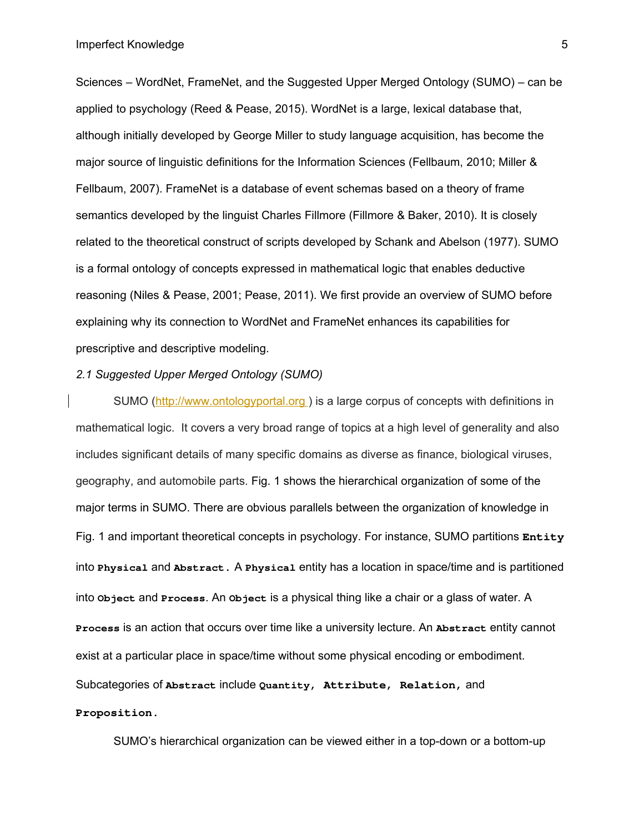Sciences – WordNet, FrameNet, and the Suggested Upper Merged Ontology (SUMO) – can be applied to psychology (Reed & Pease, 2015). WordNet is a large, lexical database that, although initially developed by George Miller to study language acquisition, has become the major source of linguistic definitions for the Information Sciences (Fellbaum, 2010; Miller & Fellbaum, 2007). FrameNet is a database of event schemas based on a theory of frame semantics developed by the linguist Charles Fillmore (Fillmore & Baker, 2010). It is closely related to the theoretical construct of scripts developed by Schank and Abelson (1977). SUMO is a formal ontology of concepts expressed in mathematical logic that enables deductive reasoning (Niles & Pease, 2001; Pease, 2011). We first provide an overview of SUMO before explaining why its connection to WordNet and FrameNet enhances its capabilities for prescriptive and descriptive modeling.

## *2.1 Suggested Upper Merged Ontology (SUMO)*

SUMO (http://www.ontologyportal.org) is a large corpus of concepts with definitions in mathematical logic. It covers a very broad range of topics at a high level of generality and also includes significant details of many specific domains as diverse as finance, biological viruses, geography, and automobile parts. Fig. 1 shows the hierarchical organization of some of the major terms in SUMO. There are obvious parallels between the organization of knowledge in Fig. 1 and important theoretical concepts in psychology. For instance, SUMO partitions **Entity** into **Physical** and **Abstract.** A **Physical** entity has a location in space/time and is partitioned into **Object** and **Process**. An **Object** is a physical thing like a chair or a glass of water. A **Process** is an action that occurs over time like a university lecture. An **Abstract** entity cannot exist at a particular place in space/time without some physical encoding or embodiment. Subcategories of **Abstract** include **Quantity, Attribute**, **Relation,** and **Proposition.**

SUMO's hierarchical organization can be viewed either in a top-down or a bottom-up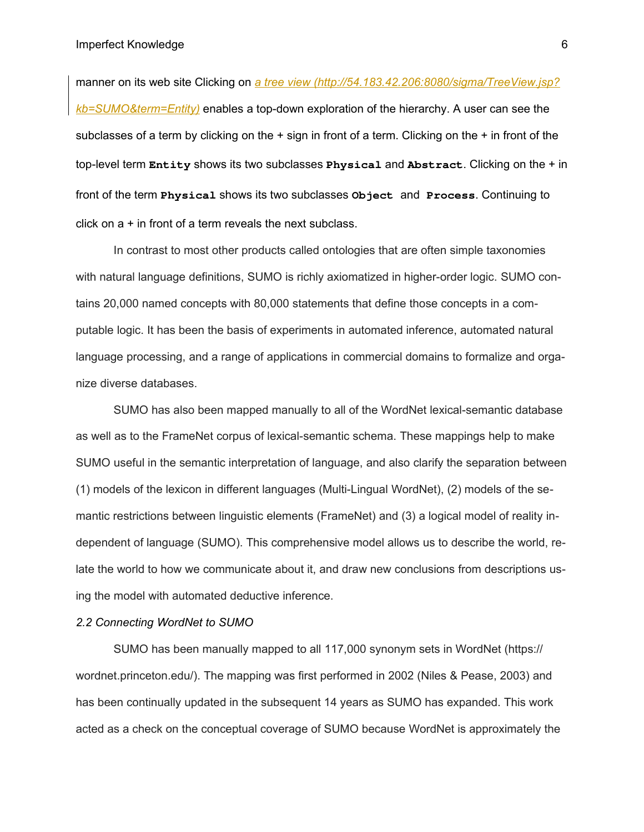manner on its web site Clicking on *a tree view (http://54.183.42.206:8080/sigma/TreeView.jsp? kb=SUMO&term=Entity)* enables a top-down exploration of the hierarchy. A user can see the subclasses of a term by clicking on the  $+$  sign in front of a term. Clicking on the  $+$  in front of the top-level term **Entity** shows its two subclasses **Physical** and **Abstract**. Clicking on the + in front of the term **Physical** shows its two subclasses **Object** and **Process**. Continuing to click on a + in front of a term reveals the next subclass.

In contrast to most other products called ontologies that are often simple taxonomies with natural language definitions, SUMO is richly axiomatized in higher-order logic. SUMO contains 20,000 named concepts with 80,000 statements that define those concepts in a computable logic. It has been the basis of experiments in automated inference, automated natural language processing, and a range of applications in commercial domains to formalize and organize diverse databases.

SUMO has also been mapped manually to all of the WordNet lexical-semantic database as well as to the FrameNet corpus of lexical-semantic schema. These mappings help to make SUMO useful in the semantic interpretation of language, and also clarify the separation between (1) models of the lexicon in different languages (Multi-Lingual WordNet), (2) models of the semantic restrictions between linguistic elements (FrameNet) and (3) a logical model of reality independent of language (SUMO). This comprehensive model allows us to describe the world, relate the world to how we communicate about it, and draw new conclusions from descriptions using the model with automated deductive inference.

### *2.2 Connecting WordNet to SUMO*

SUMO has been manually mapped to all 117,000 synonym sets in WordNet (https:// wordnet.princeton.edu/). The mapping was first performed in 2002 (Niles & Pease, 2003) and has been continually updated in the subsequent 14 years as SUMO has expanded. This work acted as a check on the conceptual coverage of SUMO because WordNet is approximately the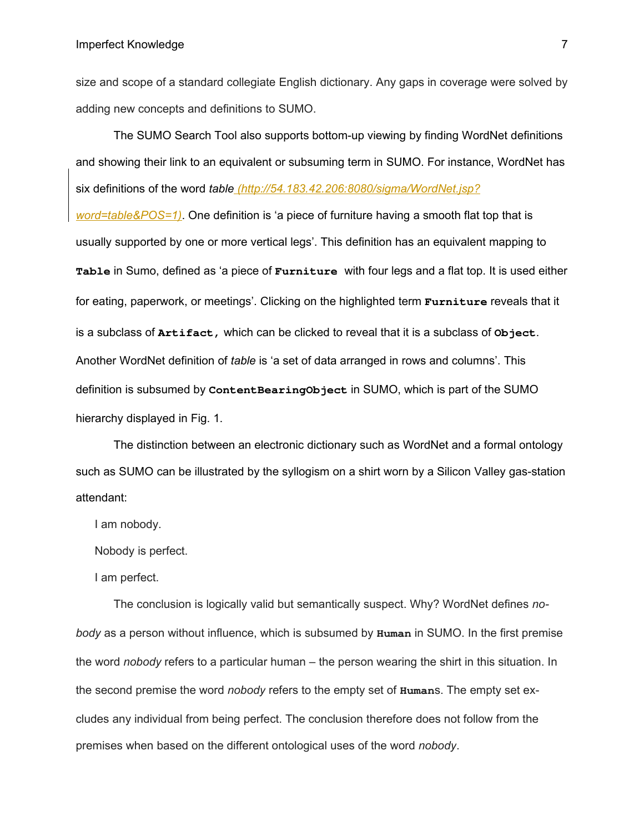size and scope of a standard collegiate English dictionary. Any gaps in coverage were solved by adding new concepts and definitions to SUMO.

The SUMO Search Tool also supports bottom-up viewing by finding WordNet definitions and showing their link to an equivalent or subsuming term in SUMO. For instance, WordNet has six definitions of the word *table (http://54.183.42.206:8080/sigma/WordNet.jsp? word=table&POS=1)*. One definition is 'a piece of furniture having a smooth flat top that is usually supported by one or more vertical legs'. This definition has an equivalent mapping to **Table** in Sumo, defined as 'a piece of **Furniture** with four legs and a flat top. It is used either for eating, paperwork, or meetings'. Clicking on the highlighted term **Furniture** reveals that it is a subclass of **Artifact,** which can be clicked to reveal that it is a subclass of **Object**. Another WordNet definition of *table* is 'a set of data arranged in rows and columns'. This definition is subsumed by **ContentBearingObject** in SUMO, which is part of the SUMO hierarchy displayed in Fig. 1.

The distinction between an electronic dictionary such as WordNet and a formal ontology such as SUMO can be illustrated by the syllogism on a shirt worn by a Silicon Valley gas-station attendant:

I am nobody.

Nobody is perfect.

I am perfect.

The conclusion is logically valid but semantically suspect. Why? WordNet defines *nobody* as a person without influence, which is subsumed by **Human** in SUMO. In the first premise the word *nobody* refers to a particular human – the person wearing the shirt in this situation. In the second premise the word *nobody* refers to the empty set of **Human**s. The empty set excludes any individual from being perfect. The conclusion therefore does not follow from the premises when based on the different ontological uses of the word *nobody*.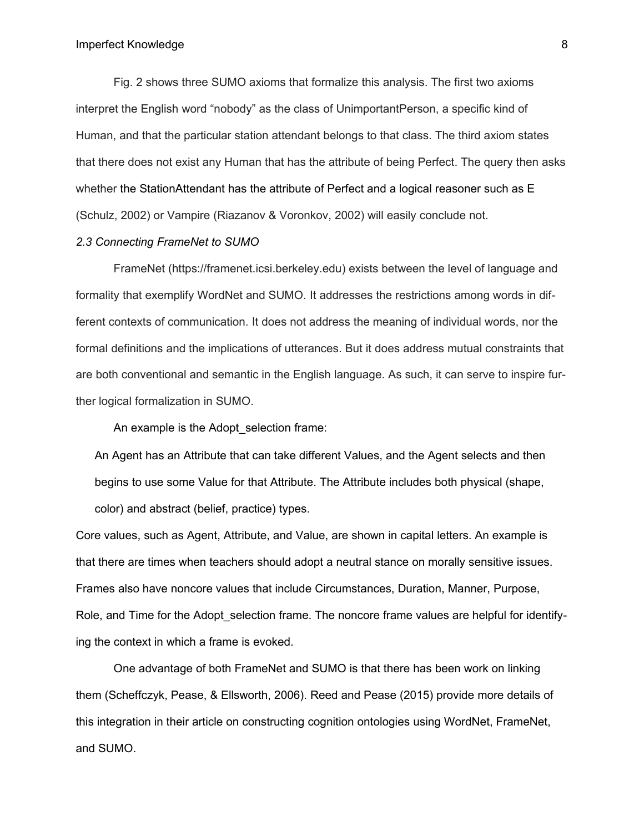#### Imperfect Knowledge

Fig. 2 shows three SUMO axioms that formalize this analysis. The first two axioms interpret the English word "nobody" as the class of UnimportantPerson, a specific kind of Human, and that the particular station attendant belongs to that class. The third axiom states that there does not exist any Human that has the attribute of being Perfect. The query then asks whether the StationAttendant has the attribute of Perfect and a logical reasoner such as E (Schulz, 2002) or Vampire (Riazanov & Voronkov, 2002) will easily conclude not.

## *2.3 Connecting FrameNet to SUMO*

FrameNet (https://framenet.icsi.berkeley.edu) exists between the level of language and formality that exemplify WordNet and SUMO. It addresses the restrictions among words in different contexts of communication. It does not address the meaning of individual words, nor the formal definitions and the implications of utterances. But it does address mutual constraints that are both conventional and semantic in the English language. As such, it can serve to inspire further logical formalization in SUMO.

An example is the Adopt selection frame:

An Agent has an Attribute that can take different Values, and the Agent selects and then begins to use some Value for that Attribute. The Attribute includes both physical (shape, color) and abstract (belief, practice) types.

Core values, such as Agent, Attribute, and Value, are shown in capital letters. An example is that there are times when teachers should adopt a neutral stance on morally sensitive issues. Frames also have noncore values that include Circumstances, Duration, Manner, Purpose, Role, and Time for the Adopt selection frame. The noncore frame values are helpful for identifying the context in which a frame is evoked.

One advantage of both FrameNet and SUMO is that there has been work on linking them (Scheffczyk, Pease, & Ellsworth, 2006). Reed and Pease (2015) provide more details of this integration in their article on constructing cognition ontologies using WordNet, FrameNet, and SUMO.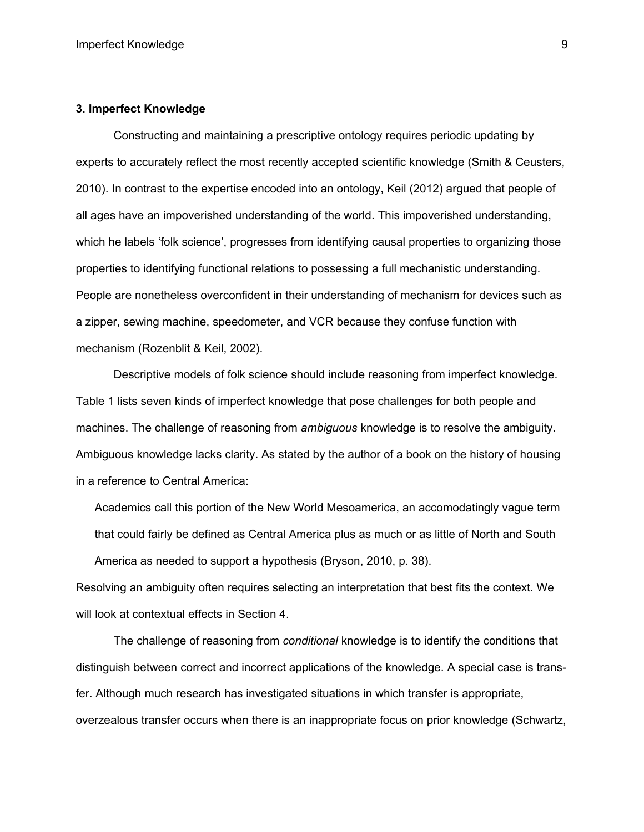#### **3. Imperfect Knowledge**

Constructing and maintaining a prescriptive ontology requires periodic updating by experts to accurately reflect the most recently accepted scientific knowledge (Smith & Ceusters, 2010). In contrast to the expertise encoded into an ontology, Keil (2012) argued that people of all ages have an impoverished understanding of the world. This impoverished understanding, which he labels 'folk science', progresses from identifying causal properties to organizing those properties to identifying functional relations to possessing a full mechanistic understanding. People are nonetheless overconfident in their understanding of mechanism for devices such as a zipper, sewing machine, speedometer, and VCR because they confuse function with mechanism (Rozenblit & Keil, 2002).

Descriptive models of folk science should include reasoning from imperfect knowledge. Table 1 lists seven kinds of imperfect knowledge that pose challenges for both people and machines. The challenge of reasoning from *ambiguous* knowledge is to resolve the ambiguity. Ambiguous knowledge lacks clarity. As stated by the author of a book on the history of housing in a reference to Central America:

Academics call this portion of the New World Mesoamerica, an accomodatingly vague term that could fairly be defined as Central America plus as much or as little of North and South America as needed to support a hypothesis (Bryson, 2010, p. 38).

Resolving an ambiguity often requires selecting an interpretation that best fits the context. We will look at contextual effects in Section 4.

The challenge of reasoning from *conditional* knowledge is to identify the conditions that distinguish between correct and incorrect applications of the knowledge. A special case is transfer. Although much research has investigated situations in which transfer is appropriate, overzealous transfer occurs when there is an inappropriate focus on prior knowledge (Schwartz,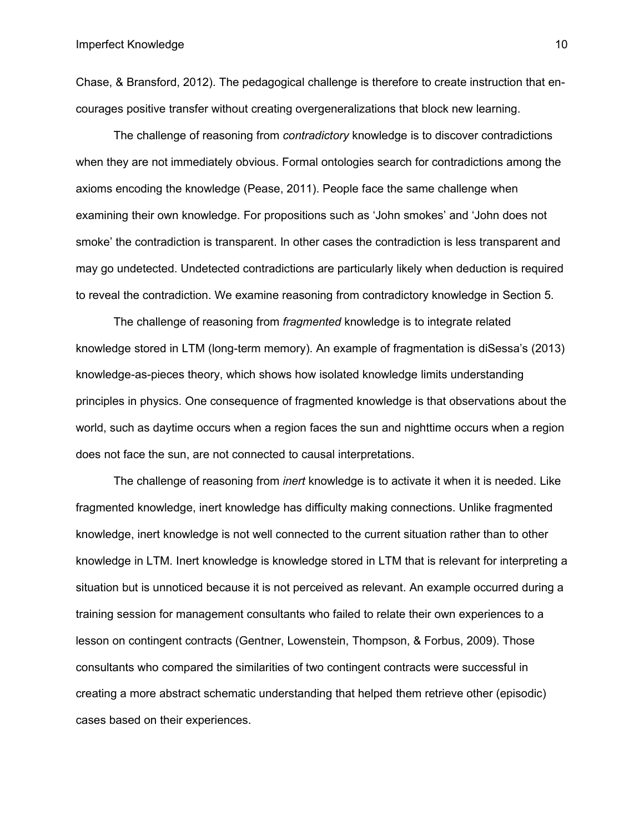Chase, & Bransford, 2012). The pedagogical challenge is therefore to create instruction that encourages positive transfer without creating overgeneralizations that block new learning.

The challenge of reasoning from *contradictory* knowledge is to discover contradictions when they are not immediately obvious. Formal ontologies search for contradictions among the axioms encoding the knowledge (Pease, 2011). People face the same challenge when examining their own knowledge. For propositions such as 'John smokes' and 'John does not smoke' the contradiction is transparent. In other cases the contradiction is less transparent and may go undetected. Undetected contradictions are particularly likely when deduction is required to reveal the contradiction. We examine reasoning from contradictory knowledge in Section 5.

The challenge of reasoning from *fragmented* knowledge is to integrate related knowledge stored in LTM (long-term memory). An example of fragmentation is diSessa's (2013) knowledge-as-pieces theory, which shows how isolated knowledge limits understanding principles in physics. One consequence of fragmented knowledge is that observations about the world, such as daytime occurs when a region faces the sun and nighttime occurs when a region does not face the sun, are not connected to causal interpretations.

The challenge of reasoning from *inert* knowledge is to activate it when it is needed. Like fragmented knowledge, inert knowledge has difficulty making connections. Unlike fragmented knowledge, inert knowledge is not well connected to the current situation rather than to other knowledge in LTM. Inert knowledge is knowledge stored in LTM that is relevant for interpreting a situation but is unnoticed because it is not perceived as relevant. An example occurred during a training session for management consultants who failed to relate their own experiences to a lesson on contingent contracts (Gentner, Lowenstein, Thompson, & Forbus, 2009). Those consultants who compared the similarities of two contingent contracts were successful in creating a more abstract schematic understanding that helped them retrieve other (episodic) cases based on their experiences.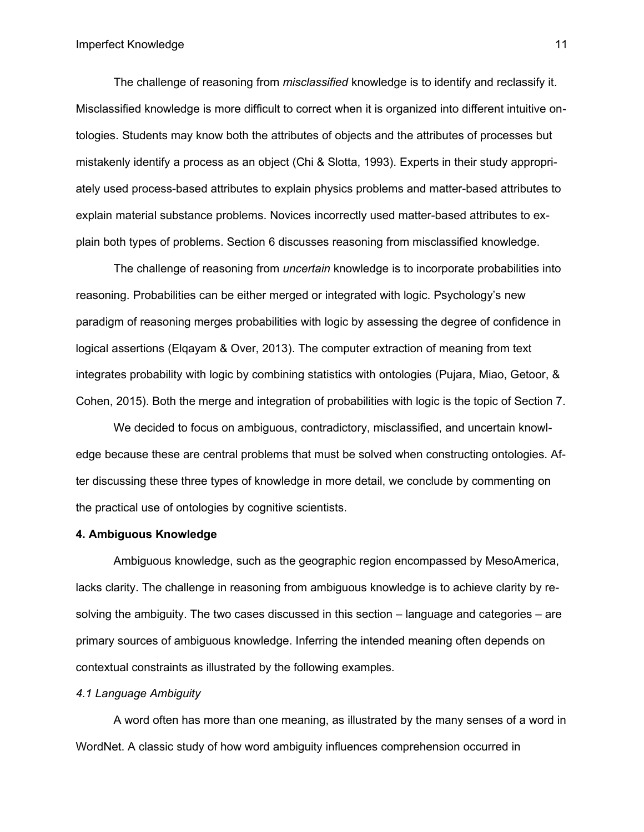The challenge of reasoning from *misclassified* knowledge is to identify and reclassify it. Misclassified knowledge is more difficult to correct when it is organized into different intuitive ontologies. Students may know both the attributes of objects and the attributes of processes but mistakenly identify a process as an object (Chi & Slotta, 1993). Experts in their study appropriately used process-based attributes to explain physics problems and matter-based attributes to explain material substance problems. Novices incorrectly used matter-based attributes to explain both types of problems. Section 6 discusses reasoning from misclassified knowledge.

The challenge of reasoning from *uncertain* knowledge is to incorporate probabilities into reasoning. Probabilities can be either merged or integrated with logic. Psychology's new paradigm of reasoning merges probabilities with logic by assessing the degree of confidence in logical assertions (Elqayam & Over, 2013). The computer extraction of meaning from text integrates probability with logic by combining statistics with ontologies (Pujara, Miao, Getoor, & Cohen, 2015). Both the merge and integration of probabilities with logic is the topic of Section 7.

We decided to focus on ambiguous, contradictory, misclassified, and uncertain knowledge because these are central problems that must be solved when constructing ontologies. After discussing these three types of knowledge in more detail, we conclude by commenting on the practical use of ontologies by cognitive scientists.

### **4. Ambiguous Knowledge**

Ambiguous knowledge, such as the geographic region encompassed by MesoAmerica, lacks clarity. The challenge in reasoning from ambiguous knowledge is to achieve clarity by resolving the ambiguity. The two cases discussed in this section – language and categories – are primary sources of ambiguous knowledge. Inferring the intended meaning often depends on contextual constraints as illustrated by the following examples.

## *4.1 Language Ambiguity*

A word often has more than one meaning, as illustrated by the many senses of a word in WordNet. A classic study of how word ambiguity influences comprehension occurred in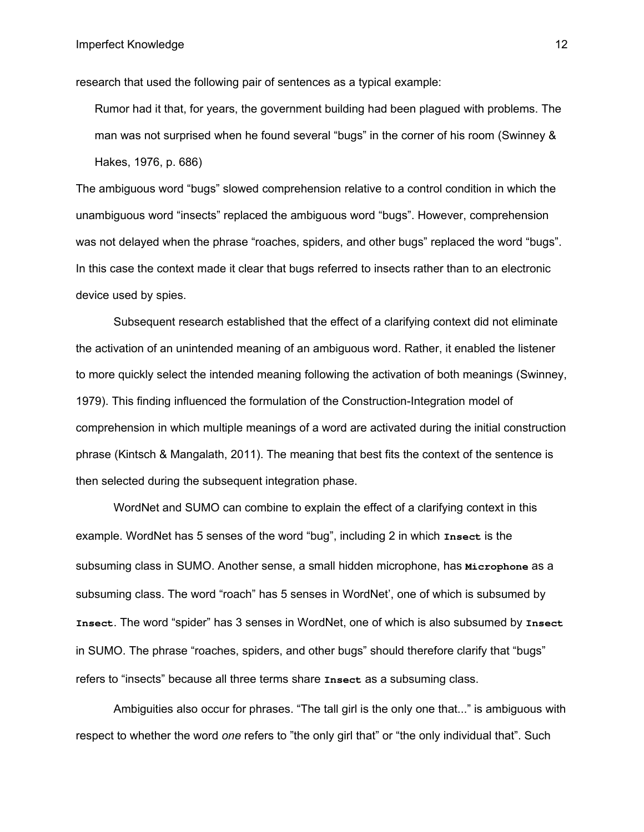research that used the following pair of sentences as a typical example:

Rumor had it that, for years, the government building had been plagued with problems. The man was not surprised when he found several "bugs" in the corner of his room (Swinney & Hakes, 1976, p. 686)

The ambiguous word "bugs" slowed comprehension relative to a control condition in which the unambiguous word "insects" replaced the ambiguous word "bugs". However, comprehension was not delayed when the phrase "roaches, spiders, and other bugs" replaced the word "bugs". In this case the context made it clear that bugs referred to insects rather than to an electronic device used by spies.

Subsequent research established that the effect of a clarifying context did not eliminate the activation of an unintended meaning of an ambiguous word. Rather, it enabled the listener to more quickly select the intended meaning following the activation of both meanings (Swinney, 1979). This finding influenced the formulation of the Construction-Integration model of comprehension in which multiple meanings of a word are activated during the initial construction phrase (Kintsch & Mangalath, 2011). The meaning that best fits the context of the sentence is then selected during the subsequent integration phase.

WordNet and SUMO can combine to explain the effect of a clarifying context in this example. WordNet has 5 senses of the word "bug", including 2 in which **Insect** is the subsuming class in SUMO. Another sense, a small hidden microphone, has **Microphone** as a subsuming class. The word "roach" has 5 senses in WordNet', one of which is subsumed by **Insect**. The word "spider" has 3 senses in WordNet, one of which is also subsumed by **Insect** in SUMO. The phrase "roaches, spiders, and other bugs" should therefore clarify that "bugs" refers to "insects" because all three terms share **Insect** as a subsuming class.

Ambiguities also occur for phrases. "The tall girl is the only one that..." is ambiguous with respect to whether the word *one* refers to "the only girl that" or "the only individual that". Such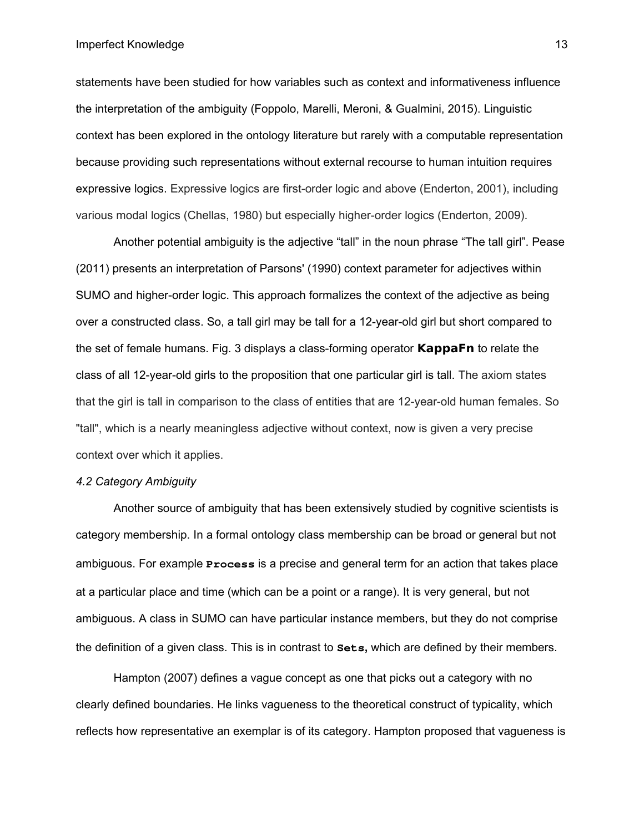#### Imperfect Knowledge

statements have been studied for how variables such as context and informativeness influence the interpretation of the ambiguity (Foppolo, Marelli, Meroni, & Gualmini, 2015). Linguistic context has been explored in the ontology literature but rarely with a computable representation because providing such representations without external recourse to human intuition requires expressive logics. Expressive logics are first-order logic and above (Enderton, 2001), including various modal logics (Chellas, 1980) but especially higher-order logics (Enderton, 2009).

Another potential ambiguity is the adjective "tall" in the noun phrase "The tall girl". Pease (2011) presents an interpretation of Parsons' (1990) context parameter for adjectives within SUMO and higher-order logic. This approach formalizes the context of the adjective as being over a constructed class. So, a tall girl may be tall for a 12-year-old girl but short compared to the set of female humans. Fig. 3 displays a class-forming operator **KappaFn** to relate the class of all 12-year-old girls to the proposition that one particular girl is tall. The axiom states that the girl is tall in comparison to the class of entities that are 12-year-old human females. So "tall", which is a nearly meaningless adjective without context, now is given a very precise context over which it applies.

## *4.2 Category Ambiguity*

Another source of ambiguity that has been extensively studied by cognitive scientists is category membership. In a formal ontology class membership can be broad or general but not ambiguous. For example **Process** is a precise and general term for an action that takes place at a particular place and time (which can be a point or a range). It is very general, but not ambiguous. A class in SUMO can have particular instance members, but they do not comprise the definition of a given class. This is in contrast to **Sets,** which are defined by their members.

Hampton (2007) defines a vague concept as one that picks out a category with no clearly defined boundaries. He links vagueness to the theoretical construct of typicality, which reflects how representative an exemplar is of its category. Hampton proposed that vagueness is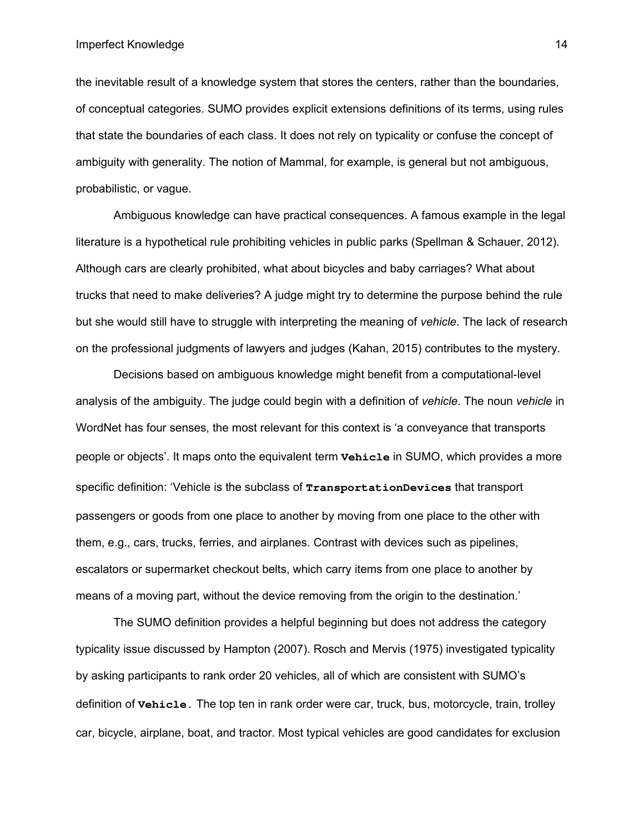the inevitable result of a knowledge system that stores the centers, rather than the boundaries, of conceptual categories. SUMO provides explicit extensions definitions of its terms, using rules that state the boundaries of each class. It does not rely on typicality or confuse the concept of ambiguity with generality. The notion of Mammal, for example, is general but not ambiguous, probabilistic, or vague.

Ambiguous knowledge can have practical consequences. A famous example in the legal literature is a hypothetical rule prohibiting vehicles in public parks (Spellman & Schauer, 2012). Although cars are clearly prohibited, what about bicycles and baby carriages? What about trucks that need to make deliveries? A judge might try to determine the purpose behind the rule but she would still have to struggle with interpreting the meaning of *vehicle*. The lack of research on the professional judgments of lawyers and judges (Kahan, 2015) contributes to the mystery.

Decisions based on ambiguous knowledge might benefit from a computational-level analysis of the ambiguity. The judge could begin with a definition of *vehicle*. The noun *vehicle* in WordNet has four senses, the most relevant for this context is 'a conveyance that transports people or objects'. It maps onto the equivalent term **Vehicle** in SUMO, which provides a more specific definition: 'Vehicle is the subclass of **TransportationDevices** that transport passengers or goods from one place to another by moving from one place to the other with them, e.g., cars, trucks, ferries, and airplanes. Contrast with devices such as pipelines, escalators or supermarket checkout belts, which carry items from one place to another by means of a moving part, without the device removing from the origin to the destination.'

The SUMO definition provides a helpful beginning but does not address the category typicality issue discussed by Hampton (2007). Rosch and Mervis (1975) investigated typicality by asking participants to rank order 20 vehicles, all of which are consistent with SUMO's definition of **Vehicle.** The top ten in rank order were car, truck, bus, motorcycle, train, trolley car, bicycle, airplane, boat, and tractor. Most typical vehicles are good candidates for exclusion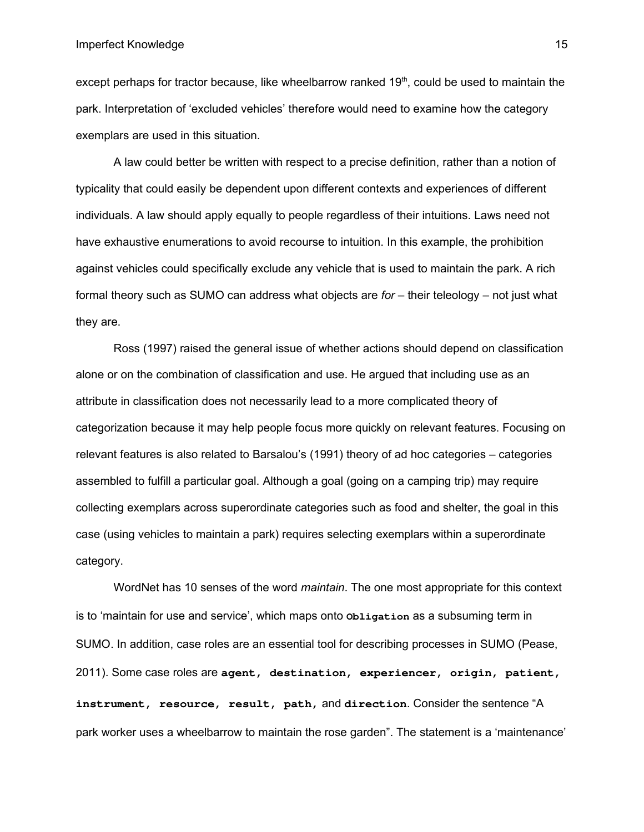except perhaps for tractor because, like wheelbarrow ranked  $19<sup>th</sup>$ , could be used to maintain the park. Interpretation of 'excluded vehicles' therefore would need to examine how the category exemplars are used in this situation.

A law could better be written with respect to a precise definition, rather than a notion of typicality that could easily be dependent upon different contexts and experiences of different individuals. A law should apply equally to people regardless of their intuitions. Laws need not have exhaustive enumerations to avoid recourse to intuition. In this example, the prohibition against vehicles could specifically exclude any vehicle that is used to maintain the park. A rich formal theory such as SUMO can address what objects are *for* – their teleology – not just what they are.

Ross (1997) raised the general issue of whether actions should depend on classification alone or on the combination of classification and use. He argued that including use as an attribute in classification does not necessarily lead to a more complicated theory of categorization because it may help people focus more quickly on relevant features. Focusing on relevant features is also related to Barsalou's (1991) theory of ad hoc categories – categories assembled to fulfill a particular goal. Although a goal (going on a camping trip) may require collecting exemplars across superordinate categories such as food and shelter, the goal in this case (using vehicles to maintain a park) requires selecting exemplars within a superordinate category.

WordNet has 10 senses of the word *maintain*. The one most appropriate for this context is to 'maintain for use and service', which maps onto **Obligation** as a subsuming term in SUMO. In addition, case roles are an essential tool for describing processes in SUMO (Pease, 2011). Some case roles are **agent, destination, experiencer, origin, patient, instrument, resource, result, path,** and **direction**. Consider the sentence "A park worker uses a wheelbarrow to maintain the rose garden". The statement is a 'maintenance'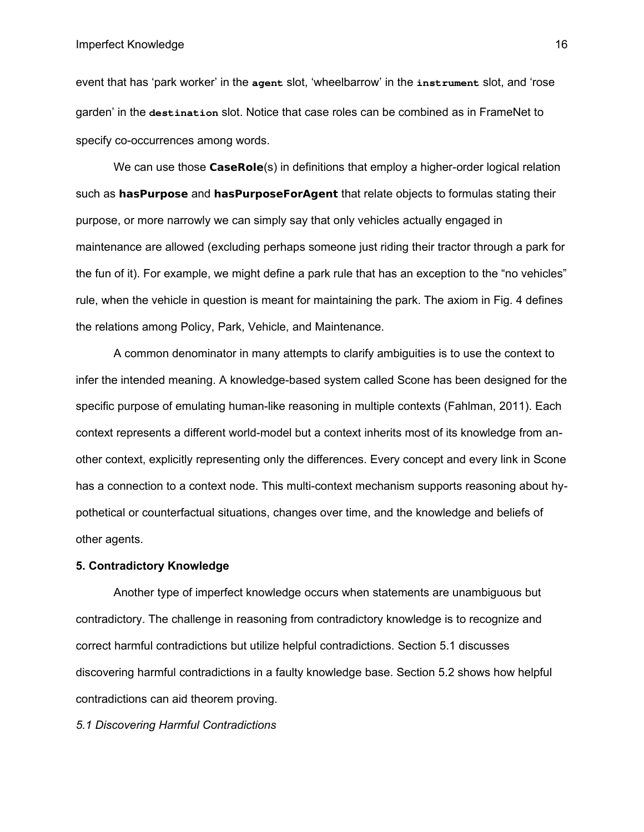#### Imperfect Knowledge

event that has 'park worker' in the **agent** slot, 'wheelbarrow' in the **instrument** slot, and 'rose garden' in the **destination** slot. Notice that case roles can be combined as in FrameNet to specify co-occurrences among words.

We can use those **CaseRole**(s) in definitions that employ a higher-order logical relation such as **hasPurpose** and **hasPurposeForAgent** that relate objects to formulas stating their purpose, or more narrowly we can simply say that only vehicles actually engaged in maintenance are allowed (excluding perhaps someone just riding their tractor through a park for the fun of it). For example, we might define a park rule that has an exception to the "no vehicles" rule, when the vehicle in question is meant for maintaining the park. The axiom in Fig. 4 defines the relations among Policy, Park, Vehicle, and Maintenance.

A common denominator in many attempts to clarify ambiguities is to use the context to infer the intended meaning. A knowledge-based system called Scone has been designed for the specific purpose of emulating human-like reasoning in multiple contexts (Fahlman, 2011). Each context represents a different world-model but a context inherits most of its knowledge from another context, explicitly representing only the differences. Every concept and every link in Scone has a connection to a context node. This multi-context mechanism supports reasoning about hypothetical or counterfactual situations, changes over time, and the knowledge and beliefs of other agents.

## **5. Contradictory Knowledge**

Another type of imperfect knowledge occurs when statements are unambiguous but contradictory. The challenge in reasoning from contradictory knowledge is to recognize and correct harmful contradictions but utilize helpful contradictions. Section 5.1 discusses discovering harmful contradictions in a faulty knowledge base. Section 5.2 shows how helpful contradictions can aid theorem proving.

*5.1 Discovering Harmful Contradictions*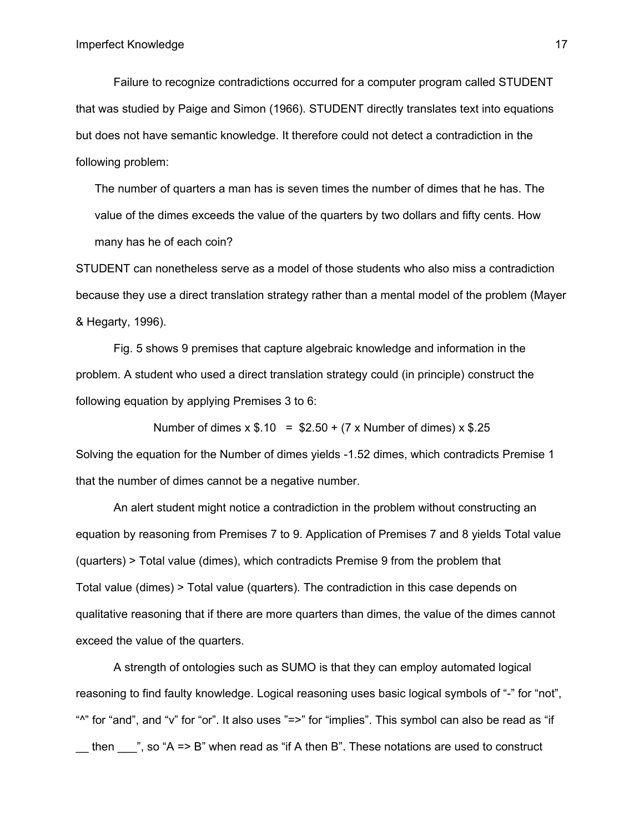Failure to recognize contradictions occurred for a computer program called STUDENT that was studied by Paige and Simon (1966). STUDENT directly translates text into equations but does not have semantic knowledge. It therefore could not detect a contradiction in the following problem:

The number of quarters a man has is seven times the number of dimes that he has. The value of the dimes exceeds the value of the quarters by two dollars and fifty cents. How many has he of each coin?

STUDENT can nonetheless serve as a model of those students who also miss a contradiction because they use a direct translation strategy rather than a mental model of the problem (Mayer & Hegarty, 1996).

Fig. 5 shows 9 premises that capture algebraic knowledge and information in the problem. A student who used a direct translation strategy could (in principle) construct the following equation by applying Premises 3 to 6:

Number of dimes  $x$  \$.10 = \$2.50 + (7 x Number of dimes)  $x$  \$.25 Solving the equation for the Number of dimes yields -1.52 dimes, which contradicts Premise 1 that the number of dimes cannot be a negative number.

An alert student might notice a contradiction in the problem without constructing an equation by reasoning from Premises 7 to 9. Application of Premises 7 and 8 yields Total value (quarters) > Total value (dimes), which contradicts Premise 9 from the problem that Total value (dimes) > Total value (quarters). The contradiction in this case depends on qualitative reasoning that if there are more quarters than dimes, the value of the dimes cannot exceed the value of the quarters.

A strength of ontologies such as SUMO is that they can employ automated logical reasoning to find faulty knowledge. Logical reasoning uses basic logical symbols of "-" for "not", " $\alpha$ " for "and", and "v" for "or". It also uses "=>" for "implies". This symbol can also be read as "if then  $\blacksquare$ ", so "A => B" when read as "if A then B". These notations are used to construct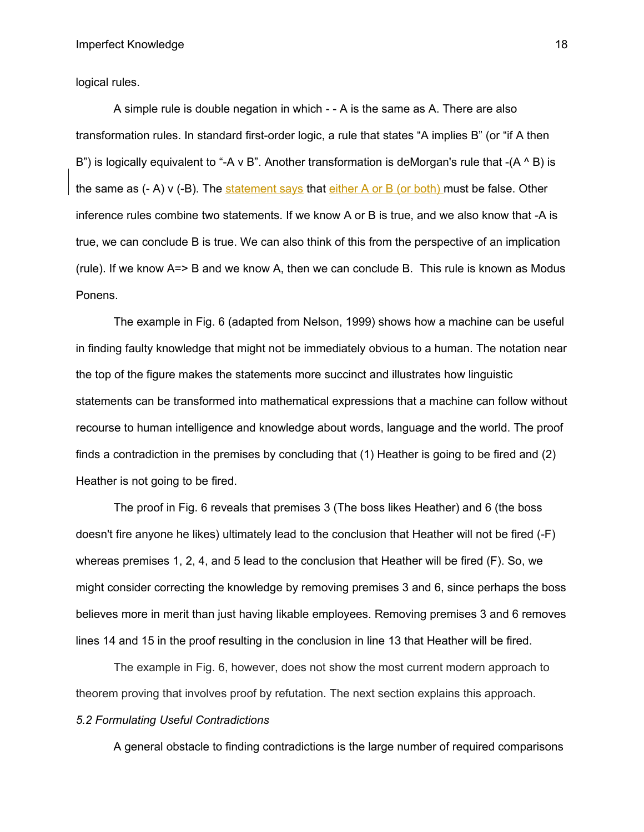logical rules.

A simple rule is double negation in which - - A is the same as A. There are also transformation rules. In standard first-order logic, a rule that states "A implies B" (or "if A then B") is logically equivalent to "-A v B". Another transformation is deMorgan's rule that  $-(A \wedge B)$  is the same as  $(-A)$  v  $(-B)$ . The statement says that either A or B (or both) must be false. Other inference rules combine two statements. If we know A or B is true, and we also know that -A is true, we can conclude B is true. We can also think of this from the perspective of an implication (rule). If we know A=> B and we know A, then we can conclude B. This rule is known as Modus Ponens.

The example in Fig. 6 (adapted from Nelson, 1999) shows how a machine can be useful in finding faulty knowledge that might not be immediately obvious to a human. The notation near the top of the figure makes the statements more succinct and illustrates how linguistic statements can be transformed into mathematical expressions that a machine can follow without recourse to human intelligence and knowledge about words, language and the world. The proof finds a contradiction in the premises by concluding that (1) Heather is going to be fired and (2) Heather is not going to be fired.

The proof in Fig. 6 reveals that premises 3 (The boss likes Heather) and 6 (the boss doesn't fire anyone he likes) ultimately lead to the conclusion that Heather will not be fired (-F) whereas premises 1, 2, 4, and 5 lead to the conclusion that Heather will be fired (F). So, we might consider correcting the knowledge by removing premises 3 and 6, since perhaps the boss believes more in merit than just having likable employees. Removing premises 3 and 6 removes lines 14 and 15 in the proof resulting in the conclusion in line 13 that Heather will be fired.

The example in Fig. 6, however, does not show the most current modern approach to theorem proving that involves proof by refutation. The next section explains this approach. *5.2 Formulating Useful Contradictions*

A general obstacle to finding contradictions is the large number of required comparisons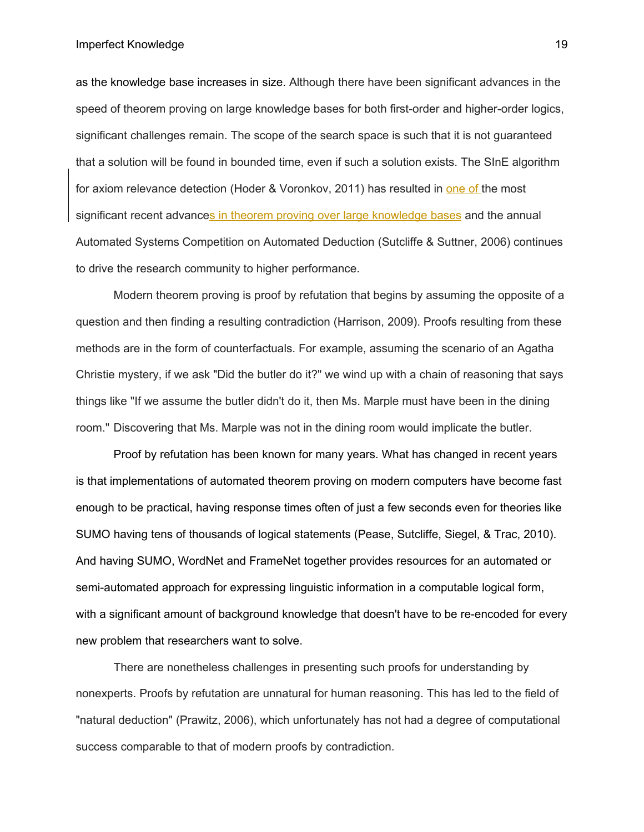Imperfect Knowledge

as the knowledge base increases in size. Although there have been significant advances in the speed of theorem proving on large knowledge bases for both first-order and higher-order logics, significant challenges remain. The scope of the search space is such that it is not guaranteed that a solution will be found in bounded time, even if such a solution exists. The SInE algorithm for axiom relevance detection (Hoder & Voronkov, 2011) has resulted in one of the most significant recent advances in theorem proving over large knowledge bases and the annual Automated Systems Competition on Automated Deduction (Sutcliffe & Suttner, 2006) continues to drive the research community to higher performance.

Modern theorem proving is proof by refutation that begins by assuming the opposite of a question and then finding a resulting contradiction (Harrison, 2009). Proofs resulting from these methods are in the form of counterfactuals. For example, assuming the scenario of an Agatha Christie mystery, if we ask "Did the butler do it?" we wind up with a chain of reasoning that says things like "If we assume the butler didn't do it, then Ms. Marple must have been in the dining room." Discovering that Ms. Marple was not in the dining room would implicate the butler.

Proof by refutation has been known for many years. What has changed in recent years is that implementations of automated theorem proving on modern computers have become fast enough to be practical, having response times often of just a few seconds even for theories like SUMO having tens of thousands of logical statements (Pease, Sutcliffe, Siegel, & Trac, 2010). And having SUMO, WordNet and FrameNet together provides resources for an automated or semi-automated approach for expressing linguistic information in a computable logical form, with a significant amount of background knowledge that doesn't have to be re-encoded for every new problem that researchers want to solve.

There are nonetheless challenges in presenting such proofs for understanding by nonexperts. Proofs by refutation are unnatural for human reasoning. This has led to the field of "natural deduction" (Prawitz, 2006), which unfortunately has not had a degree of computational success comparable to that of modern proofs by contradiction.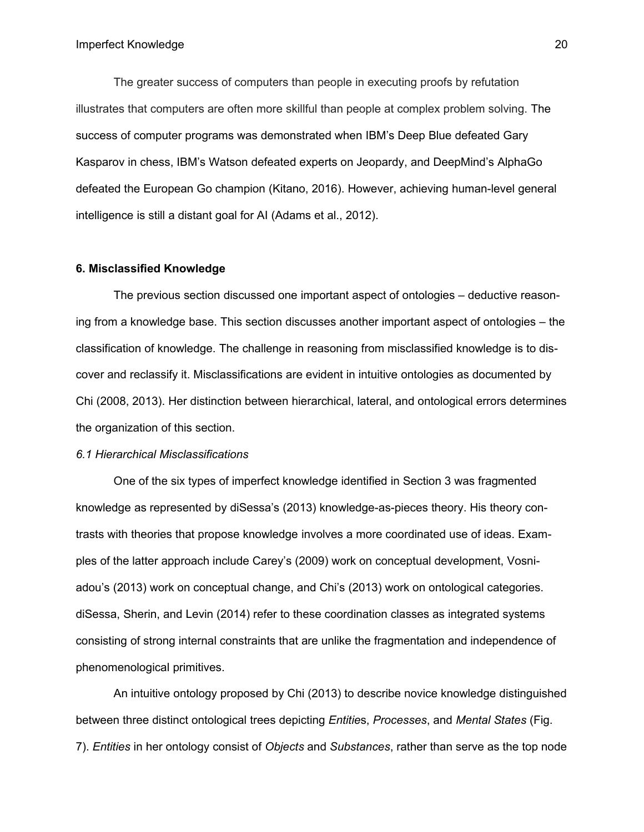The greater success of computers than people in executing proofs by refutation illustrates that computers are often more skillful than people at complex problem solving. The success of computer programs was demonstrated when IBM's Deep Blue defeated Gary Kasparov in chess, IBM's Watson defeated experts on Jeopardy, and DeepMind's AlphaGo defeated the European Go champion (Kitano, 2016). However, achieving human-level general intelligence is still a distant goal for AI (Adams et al., 2012).

#### **6. Misclassified Knowledge**

The previous section discussed one important aspect of ontologies – deductive reasoning from a knowledge base. This section discusses another important aspect of ontologies – the classification of knowledge. The challenge in reasoning from misclassified knowledge is to discover and reclassify it. Misclassifications are evident in intuitive ontologies as documented by Chi (2008, 2013). Her distinction between hierarchical, lateral, and ontological errors determines the organization of this section.

#### *6.1 Hierarchical Misclassifications*

One of the six types of imperfect knowledge identified in Section 3 was fragmented knowledge as represented by diSessa's (2013) knowledge-as-pieces theory. His theory contrasts with theories that propose knowledge involves a more coordinated use of ideas. Examples of the latter approach include Carey's (2009) work on conceptual development, Vosniadou's (2013) work on conceptual change, and Chi's (2013) work on ontological categories. diSessa, Sherin, and Levin (2014) refer to these coordination classes as integrated systems consisting of strong internal constraints that are unlike the fragmentation and independence of phenomenological primitives.

An intuitive ontology proposed by Chi (2013) to describe novice knowledge distinguished between three distinct ontological trees depicting *Entitie*s, *Processes*, and *Mental States* (Fig. 7). *Entities* in her ontology consist of *Objects* and *Substances*, rather than serve as the top node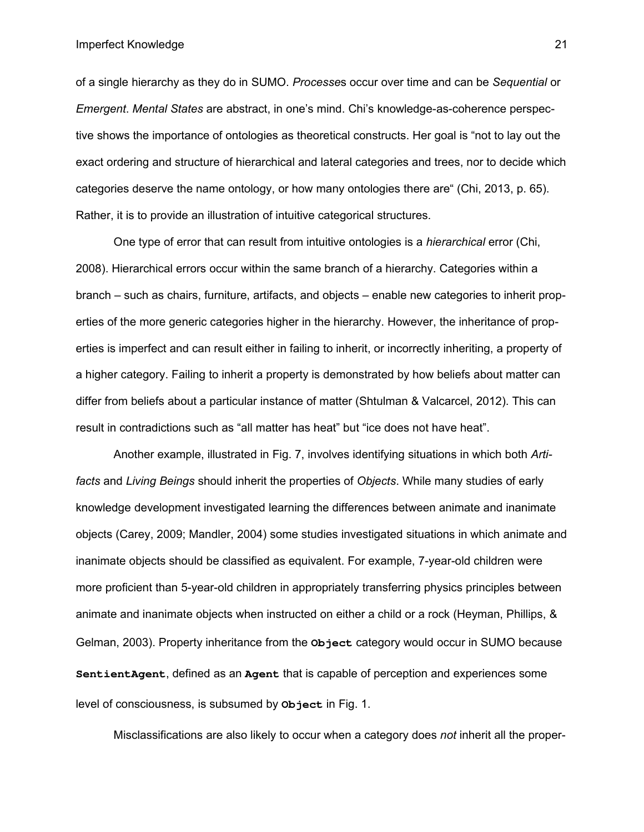of a single hierarchy as they do in SUMO. *Processe*s occur over time and can be *Sequential* or *Emergent*. *Mental States* are abstract, in one's mind. Chi's knowledge-as-coherence perspective shows the importance of ontologies as theoretical constructs. Her goal is "not to lay out the exact ordering and structure of hierarchical and lateral categories and trees, nor to decide which categories deserve the name ontology, or how many ontologies there are" (Chi, 2013, p. 65). Rather, it is to provide an illustration of intuitive categorical structures.

One type of error that can result from intuitive ontologies is a *hierarchical* error (Chi, 2008). Hierarchical errors occur within the same branch of a hierarchy. Categories within a branch – such as chairs, furniture, artifacts, and objects – enable new categories to inherit properties of the more generic categories higher in the hierarchy. However, the inheritance of properties is imperfect and can result either in failing to inherit, or incorrectly inheriting, a property of a higher category. Failing to inherit a property is demonstrated by how beliefs about matter can differ from beliefs about a particular instance of matter (Shtulman & Valcarcel, 2012). This can result in contradictions such as "all matter has heat" but "ice does not have heat".

Another example, illustrated in Fig. 7, involves identifying situations in which both *Artifacts* and *Living Beings* should inherit the properties of *Objects*. While many studies of early knowledge development investigated learning the differences between animate and inanimate objects (Carey, 2009; Mandler, 2004) some studies investigated situations in which animate and inanimate objects should be classified as equivalent. For example, 7-year-old children were more proficient than 5-year-old children in appropriately transferring physics principles between animate and inanimate objects when instructed on either a child or a rock (Heyman, Phillips, & Gelman, 2003). Property inheritance from the **Object** category would occur in SUMO because **SentientAgent**, defined as an **Agent** that is capable of perception and experiences some level of consciousness, is subsumed by **Object** in Fig. 1.

Misclassifications are also likely to occur when a category does *not* inherit all the proper-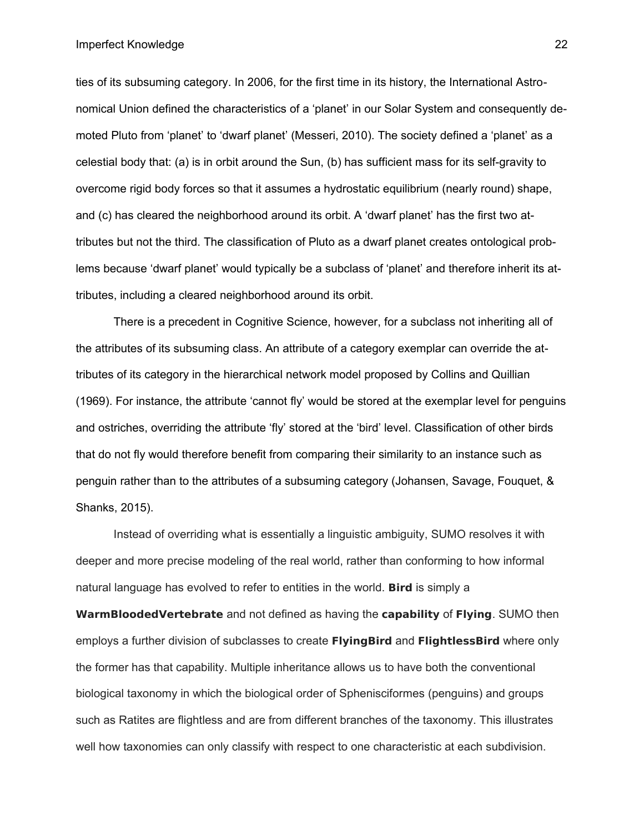Imperfect Knowledge

ties of its subsuming category. In 2006, for the first time in its history, the International Astronomical Union defined the characteristics of a 'planet' in our Solar System and consequently demoted Pluto from 'planet' to 'dwarf planet' (Messeri, 2010). The society defined a 'planet' as a celestial body that: (a) is in orbit around the Sun, (b) has sufficient mass for its self-gravity to overcome rigid body forces so that it assumes a hydrostatic equilibrium (nearly round) shape, and (c) has cleared the neighborhood around its orbit. A 'dwarf planet' has the first two attributes but not the third. The classification of Pluto as a dwarf planet creates ontological problems because 'dwarf planet' would typically be a subclass of 'planet' and therefore inherit its attributes, including a cleared neighborhood around its orbit.

There is a precedent in Cognitive Science, however, for a subclass not inheriting all of the attributes of its subsuming class. An attribute of a category exemplar can override the attributes of its category in the hierarchical network model proposed by Collins and Quillian (1969). For instance, the attribute 'cannot fly' would be stored at the exemplar level for penguins and ostriches, overriding the attribute 'fly' stored at the 'bird' level. Classification of other birds that do not fly would therefore benefit from comparing their similarity to an instance such as penguin rather than to the attributes of a subsuming category (Johansen, Savage, Fouquet, & Shanks, 2015).

Instead of overriding what is essentially a linguistic ambiguity, SUMO resolves it with deeper and more precise modeling of the real world, rather than conforming to how informal natural language has evolved to refer to entities in the world. **Bird** is simply a

**WarmBloodedVertebrate** and not defined as having the **capability** of **Flying**. SUMO then employs a further division of subclasses to create **FlyingBird** and **FlightlessBird** where only the former has that capability. Multiple inheritance allows us to have both the conventional biological taxonomy in which the biological order of Sphenisciformes (penguins) and groups such as Ratites are flightless and are from different branches of the taxonomy. This illustrates well how taxonomies can only classify with respect to one characteristic at each subdivision.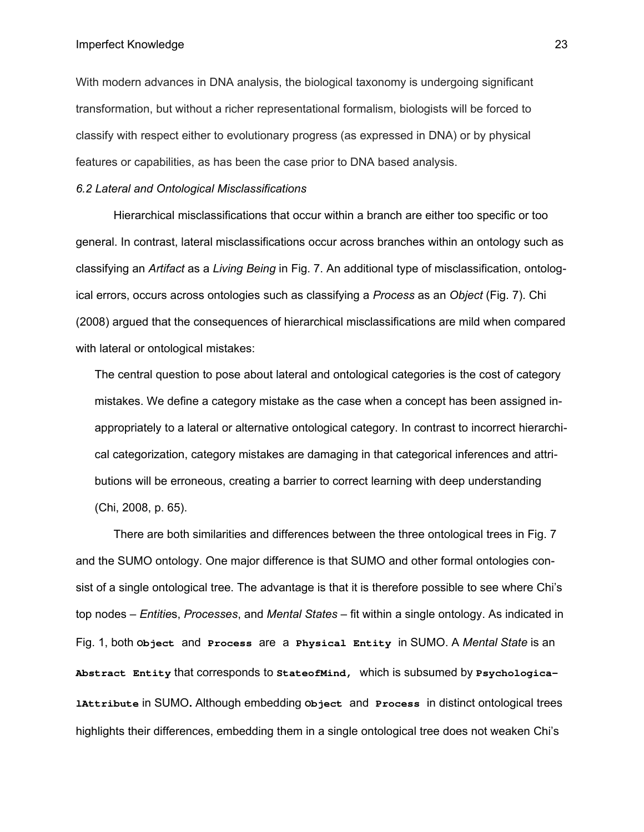#### Imperfect Knowledge

With modern advances in DNA analysis, the biological taxonomy is undergoing significant transformation, but without a richer representational formalism, biologists will be forced to classify with respect either to evolutionary progress (as expressed in DNA) or by physical features or capabilities, as has been the case prior to DNA based analysis.

### *6.2 Lateral and Ontological Misclassifications*

Hierarchical misclassifications that occur within a branch are either too specific or too general. In contrast, lateral misclassifications occur across branches within an ontology such as classifying an *Artifact* as a *Living Being* in Fig. 7. An additional type of misclassification, ontological errors, occurs across ontologies such as classifying a *Process* as an *Object* (Fig. 7). Chi (2008) argued that the consequences of hierarchical misclassifications are mild when compared with lateral or ontological mistakes:

The central question to pose about lateral and ontological categories is the cost of category mistakes. We define a category mistake as the case when a concept has been assigned inappropriately to a lateral or alternative ontological category. In contrast to incorrect hierarchical categorization, category mistakes are damaging in that categorical inferences and attributions will be erroneous, creating a barrier to correct learning with deep understanding (Chi, 2008, p. 65).

There are both similarities and differences between the three ontological trees in Fig. 7 and the SUMO ontology. One major difference is that SUMO and other formal ontologies consist of a single ontological tree. The advantage is that it is therefore possible to see where Chi's top nodes – *Entitie*s, *Processes*, and *Mental States* – fit within a single ontology. As indicated in Fig. 1, both **Object** and **Process** are a **Physical Entity** in SUMO. A *Mental State* is an **Abstract Entity** that corresponds to **StateofMind,** which is subsumed by **PsychologicalAttribute** in SUMO**.** Although embedding **Object** and **Process** in distinct ontological trees highlights their differences, embedding them in a single ontological tree does not weaken Chi's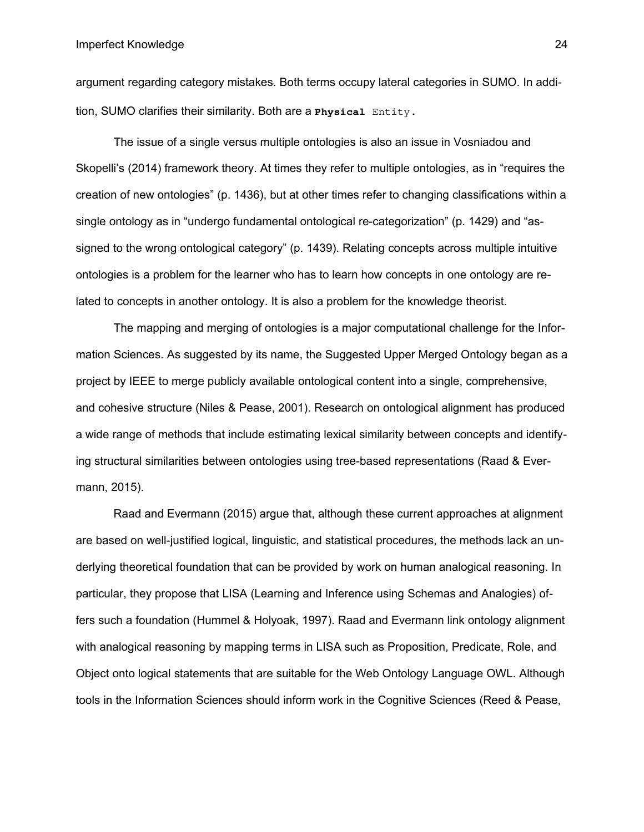argument regarding category mistakes. Both terms occupy lateral categories in SUMO. In addition, SUMO clarifies their similarity. Both are a **Physical** Entity**.**

The issue of a single versus multiple ontologies is also an issue in Vosniadou and Skopelli's (2014) framework theory. At times they refer to multiple ontologies, as in "requires the creation of new ontologies" (p. 1436), but at other times refer to changing classifications within a single ontology as in "undergo fundamental ontological re-categorization" (p. 1429) and "assigned to the wrong ontological category" (p. 1439). Relating concepts across multiple intuitive ontologies is a problem for the learner who has to learn how concepts in one ontology are related to concepts in another ontology. It is also a problem for the knowledge theorist.

The mapping and merging of ontologies is a major computational challenge for the Information Sciences. As suggested by its name, the Suggested Upper Merged Ontology began as a project by IEEE to merge publicly available ontological content into a single, comprehensive, and cohesive structure (Niles & Pease, 2001). Research on ontological alignment has produced a wide range of methods that include estimating lexical similarity between concepts and identifying structural similarities between ontologies using tree-based representations (Raad & Evermann, 2015).

Raad and Evermann (2015) argue that, although these current approaches at alignment are based on well-justified logical, linguistic, and statistical procedures, the methods lack an underlying theoretical foundation that can be provided by work on human analogical reasoning. In particular, they propose that LISA (Learning and Inference using Schemas and Analogies) offers such a foundation (Hummel & Holyoak, 1997). Raad and Evermann link ontology alignment with analogical reasoning by mapping terms in LISA such as Proposition, Predicate, Role, and Object onto logical statements that are suitable for the Web Ontology Language OWL. Although tools in the Information Sciences should inform work in the Cognitive Sciences (Reed & Pease,

24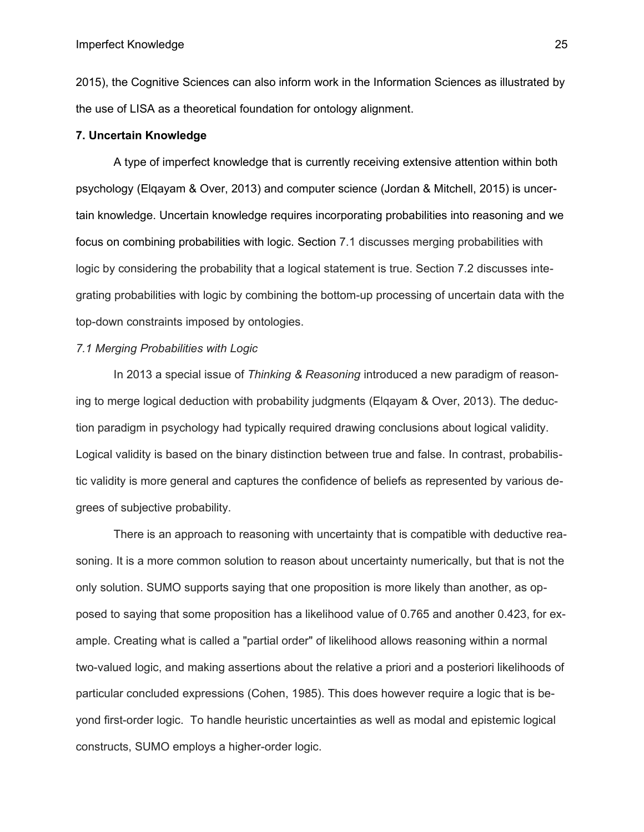2015), the Cognitive Sciences can also inform work in the Information Sciences as illustrated by the use of LISA as a theoretical foundation for ontology alignment.

## **7. Uncertain Knowledge**

A type of imperfect knowledge that is currently receiving extensive attention within both psychology (Elqayam & Over, 2013) and computer science (Jordan & Mitchell, 2015) is uncertain knowledge. Uncertain knowledge requires incorporating probabilities into reasoning and we focus on combining probabilities with logic. Section 7.1 discusses merging probabilities with logic by considering the probability that a logical statement is true. Section 7.2 discusses integrating probabilities with logic by combining the bottom-up processing of uncertain data with the top-down constraints imposed by ontologies.

## *7.1 Merging Probabilities with Logic*

In 2013 a special issue of *Thinking & Reasoning* introduced a new paradigm of reasoning to merge logical deduction with probability judgments (Elqayam & Over, 2013). The deduction paradigm in psychology had typically required drawing conclusions about logical validity. Logical validity is based on the binary distinction between true and false. In contrast, probabilistic validity is more general and captures the confidence of beliefs as represented by various degrees of subjective probability.

There is an approach to reasoning with uncertainty that is compatible with deductive reasoning. It is a more common solution to reason about uncertainty numerically, but that is not the only solution. SUMO supports saying that one proposition is more likely than another, as opposed to saying that some proposition has a likelihood value of 0.765 and another 0.423, for example. Creating what is called a "partial order" of likelihood allows reasoning within a normal two-valued logic, and making assertions about the relative a priori and a posteriori likelihoods of particular concluded expressions (Cohen, 1985). This does however require a logic that is beyond first-order logic. To handle heuristic uncertainties as well as modal and epistemic logical constructs, SUMO employs a higher-order logic.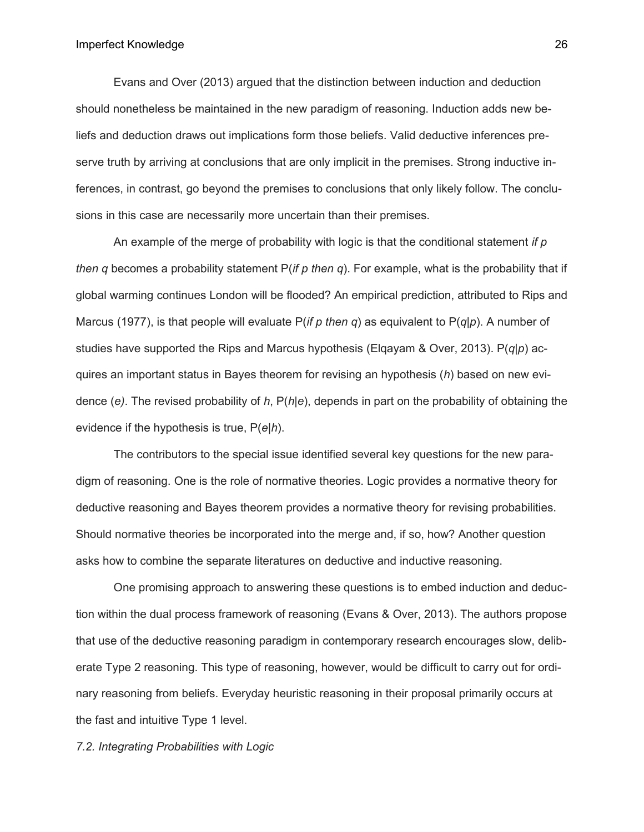Evans and Over (2013) argued that the distinction between induction and deduction should nonetheless be maintained in the new paradigm of reasoning. Induction adds new beliefs and deduction draws out implications form those beliefs. Valid deductive inferences preserve truth by arriving at conclusions that are only implicit in the premises. Strong inductive inferences, in contrast, go beyond the premises to conclusions that only likely follow. The conclusions in this case are necessarily more uncertain than their premises.

An example of the merge of probability with logic is that the conditional statement *if p then q* becomes a probability statement P(*if p then q*). For example, what is the probability that if global warming continues London will be flooded? An empirical prediction, attributed to Rips and Marcus (1977), is that people will evaluate P(*if p then q*) as equivalent to P(*q|p*). A number of studies have supported the Rips and Marcus hypothesis (Elqayam & Over, 2013). P(*q|p*) acquires an important status in Bayes theorem for revising an hypothesis (*h*) based on new evidence (*e)*. The revised probability of *h*, P(*h|e*), depends in part on the probability of obtaining the evidence if the hypothesis is true, P(*e|h*).

The contributors to the special issue identified several key questions for the new paradigm of reasoning. One is the role of normative theories. Logic provides a normative theory for deductive reasoning and Bayes theorem provides a normative theory for revising probabilities. Should normative theories be incorporated into the merge and, if so, how? Another question asks how to combine the separate literatures on deductive and inductive reasoning.

One promising approach to answering these questions is to embed induction and deduction within the dual process framework of reasoning (Evans & Over, 2013). The authors propose that use of the deductive reasoning paradigm in contemporary research encourages slow, deliberate Type 2 reasoning. This type of reasoning, however, would be difficult to carry out for ordinary reasoning from beliefs. Everyday heuristic reasoning in their proposal primarily occurs at the fast and intuitive Type 1 level.

*7.2. Integrating Probabilities with Logic*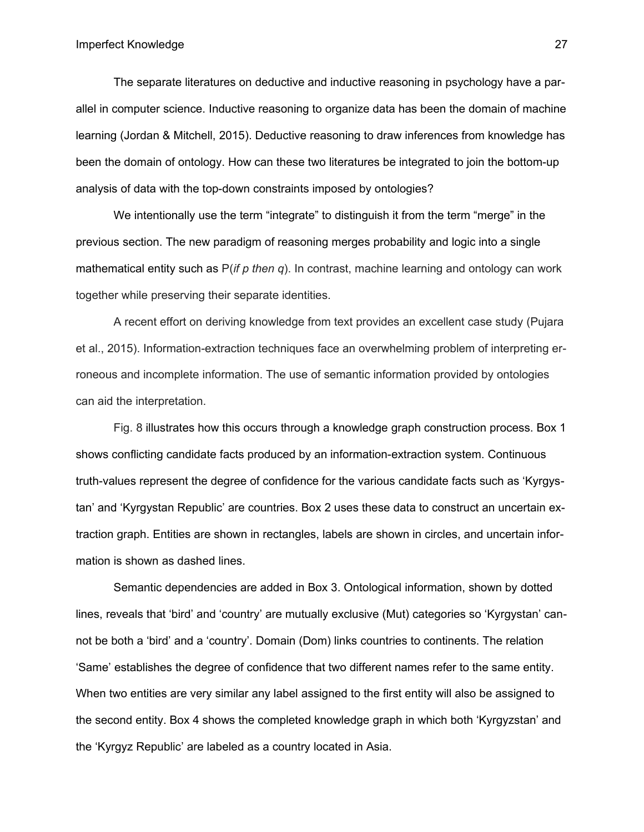The separate literatures on deductive and inductive reasoning in psychology have a parallel in computer science. Inductive reasoning to organize data has been the domain of machine learning (Jordan & Mitchell, 2015). Deductive reasoning to draw inferences from knowledge has been the domain of ontology. How can these two literatures be integrated to join the bottom-up analysis of data with the top-down constraints imposed by ontologies?

We intentionally use the term "integrate" to distinguish it from the term "merge" in the previous section. The new paradigm of reasoning merges probability and logic into a single mathematical entity such as P(*if p then q*). In contrast, machine learning and ontology can work together while preserving their separate identities.

A recent effort on deriving knowledge from text provides an excellent case study (Pujara et al., 2015). Information-extraction techniques face an overwhelming problem of interpreting erroneous and incomplete information. The use of semantic information provided by ontologies can aid the interpretation.

Fig. 8 illustrates how this occurs through a knowledge graph construction process. Box 1 shows conflicting candidate facts produced by an information-extraction system. Continuous truth-values represent the degree of confidence for the various candidate facts such as 'Kyrgystan' and 'Kyrgystan Republic' are countries. Box 2 uses these data to construct an uncertain extraction graph. Entities are shown in rectangles, labels are shown in circles, and uncertain information is shown as dashed lines.

Semantic dependencies are added in Box 3. Ontological information, shown by dotted lines, reveals that 'bird' and 'country' are mutually exclusive (Mut) categories so 'Kyrgystan' cannot be both a 'bird' and a 'country'. Domain (Dom) links countries to continents. The relation 'Same' establishes the degree of confidence that two different names refer to the same entity. When two entities are very similar any label assigned to the first entity will also be assigned to the second entity. Box 4 shows the completed knowledge graph in which both 'Kyrgyzstan' and the 'Kyrgyz Republic' are labeled as a country located in Asia.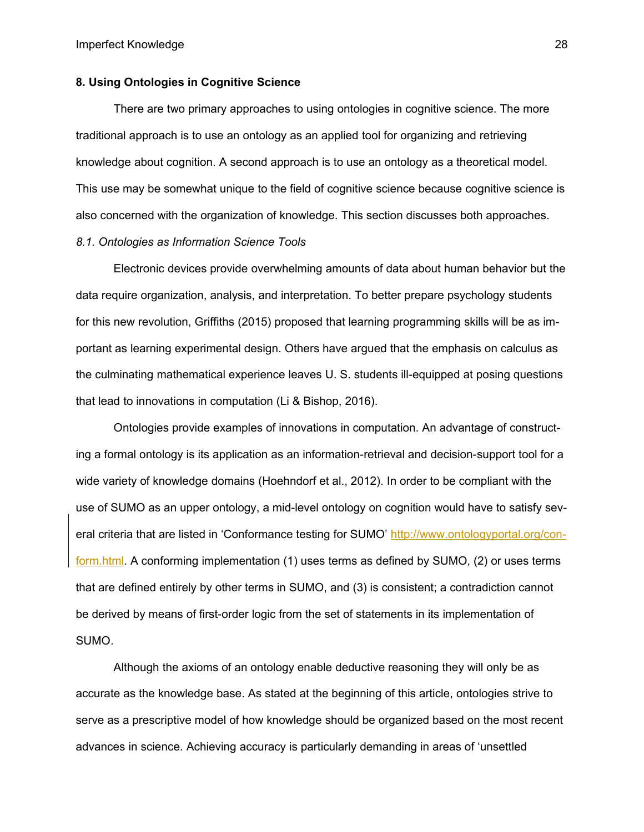## **8. Using Ontologies in Cognitive Science**

There are two primary approaches to using ontologies in cognitive science. The more traditional approach is to use an ontology as an applied tool for organizing and retrieving knowledge about cognition. A second approach is to use an ontology as a theoretical model. This use may be somewhat unique to the field of cognitive science because cognitive science is also concerned with the organization of knowledge. This section discusses both approaches.

## *8.1. Ontologies as Information Science Tools*

Electronic devices provide overwhelming amounts of data about human behavior but the data require organization, analysis, and interpretation. To better prepare psychology students for this new revolution, Griffiths (2015) proposed that learning programming skills will be as important as learning experimental design. Others have argued that the emphasis on calculus as the culminating mathematical experience leaves U. S. students ill-equipped at posing questions that lead to innovations in computation (Li & Bishop, 2016).

Ontologies provide examples of innovations in computation. An advantage of constructing a formal ontology is its application as an information-retrieval and decision-support tool for a wide variety of knowledge domains (Hoehndorf et al., 2012). In order to be compliant with the use of SUMO as an upper ontology, a mid-level ontology on cognition would have to satisfy several criteria that are listed in 'Conformance testing for SUMO' http://www.ontologyportal.org/conform.html. A conforming implementation (1) uses terms as defined by SUMO, (2) or uses terms that are defined entirely by other terms in SUMO, and (3) is consistent; a contradiction cannot be derived by means of first-order logic from the set of statements in its implementation of SUMO.

Although the axioms of an ontology enable deductive reasoning they will only be as accurate as the knowledge base. As stated at the beginning of this article, ontologies strive to serve as a prescriptive model of how knowledge should be organized based on the most recent advances in science. Achieving accuracy is particularly demanding in areas of 'unsettled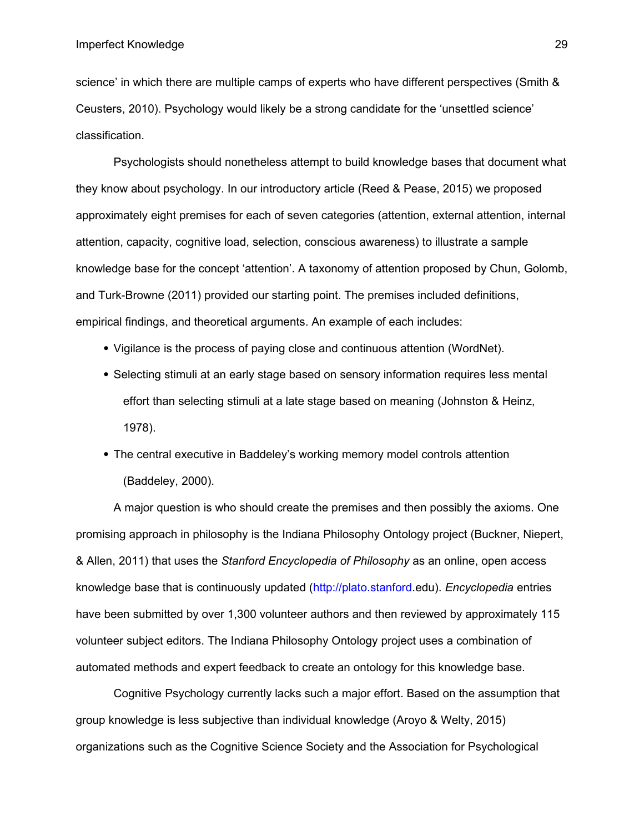science' in which there are multiple camps of experts who have different perspectives (Smith & Ceusters, 2010). Psychology would likely be a strong candidate for the 'unsettled science' classification.

Psychologists should nonetheless attempt to build knowledge bases that document what they know about psychology. In our introductory article (Reed & Pease, 2015) we proposed approximately eight premises for each of seven categories (attention, external attention, internal attention, capacity, cognitive load, selection, conscious awareness) to illustrate a sample knowledge base for the concept 'attention'. A taxonomy of attention proposed by Chun, Golomb, and Turk-Browne (2011) provided our starting point. The premises included definitions, empirical findings, and theoretical arguments. An example of each includes:

- Vigilance is the process of paying close and continuous attention (WordNet).
- Selecting stimuli at an early stage based on sensory information requires less mental effort than selecting stimuli at a late stage based on meaning (Johnston & Heinz, 1978).
- The central executive in Baddeley's working memory model controls attention (Baddeley, 2000).

A major question is who should create the premises and then possibly the axioms. One promising approach in philosophy is the Indiana Philosophy Ontology project (Buckner, Niepert, & Allen, 2011) that uses the *Stanford Encyclopedia of Philosophy* as an online, open access knowledge base that is continuously updated ([http://plato.stanford](http://plato.stanford/).edu). *Encyclopedia* entries have been submitted by over 1,300 volunteer authors and then reviewed by approximately 115 volunteer subject editors. The Indiana Philosophy Ontology project uses a combination of automated methods and expert feedback to create an ontology for this knowledge base.

Cognitive Psychology currently lacks such a major effort. Based on the assumption that group knowledge is less subjective than individual knowledge (Aroyo & Welty, 2015) organizations such as the Cognitive Science Society and the Association for Psychological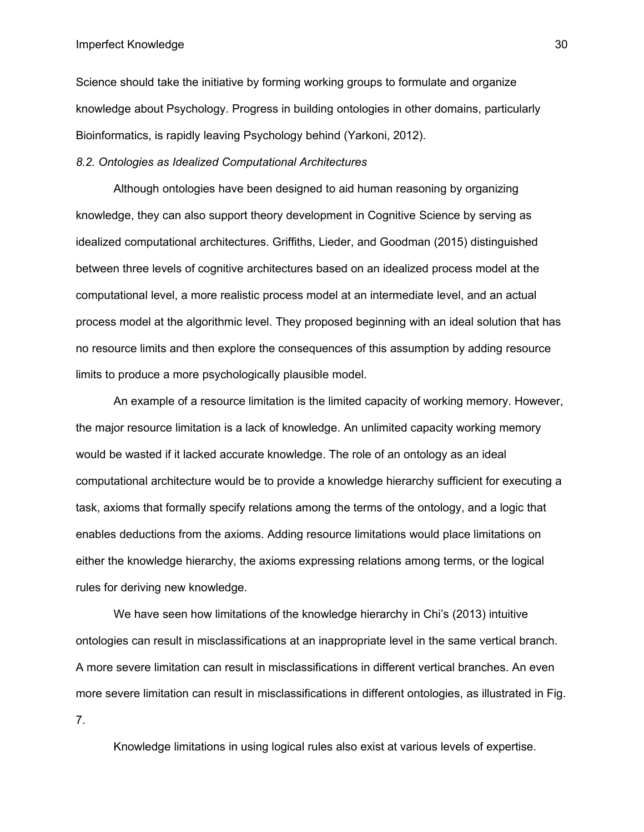#### Imperfect Knowledge

Science should take the initiative by forming working groups to formulate and organize knowledge about Psychology. Progress in building ontologies in other domains, particularly Bioinformatics, is rapidly leaving Psychology behind (Yarkoni, 2012).

### *8.2. Ontologies as Idealized Computational Architectures*

Although ontologies have been designed to aid human reasoning by organizing knowledge, they can also support theory development in Cognitive Science by serving as idealized computational architectures. Griffiths, Lieder, and Goodman (2015) distinguished between three levels of cognitive architectures based on an idealized process model at the computational level, a more realistic process model at an intermediate level, and an actual process model at the algorithmic level. They proposed beginning with an ideal solution that has no resource limits and then explore the consequences of this assumption by adding resource limits to produce a more psychologically plausible model.

An example of a resource limitation is the limited capacity of working memory. However, the major resource limitation is a lack of knowledge. An unlimited capacity working memory would be wasted if it lacked accurate knowledge. The role of an ontology as an ideal computational architecture would be to provide a knowledge hierarchy sufficient for executing a task, axioms that formally specify relations among the terms of the ontology, and a logic that enables deductions from the axioms. Adding resource limitations would place limitations on either the knowledge hierarchy, the axioms expressing relations among terms, or the logical rules for deriving new knowledge.

We have seen how limitations of the knowledge hierarchy in Chi's (2013) intuitive ontologies can result in misclassifications at an inappropriate level in the same vertical branch. A more severe limitation can result in misclassifications in different vertical branches. An even more severe limitation can result in misclassifications in different ontologies, as illustrated in Fig. 7.

Knowledge limitations in using logical rules also exist at various levels of expertise.

30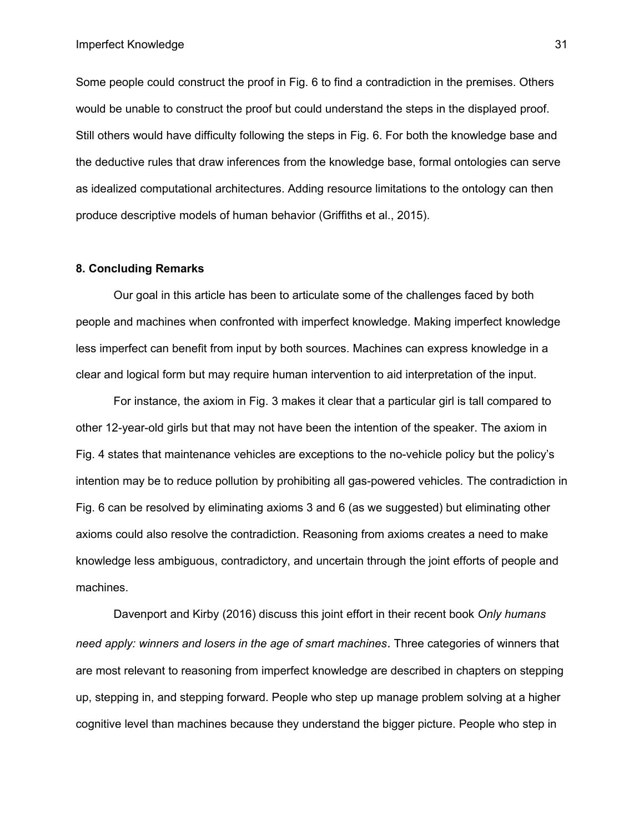Imperfect Knowledge

Some people could construct the proof in Fig. 6 to find a contradiction in the premises. Others would be unable to construct the proof but could understand the steps in the displayed proof. Still others would have difficulty following the steps in Fig. 6. For both the knowledge base and the deductive rules that draw inferences from the knowledge base, formal ontologies can serve as idealized computational architectures. Adding resource limitations to the ontology can then produce descriptive models of human behavior (Griffiths et al., 2015).

### **8. Concluding Remarks**

Our goal in this article has been to articulate some of the challenges faced by both people and machines when confronted with imperfect knowledge. Making imperfect knowledge less imperfect can benefit from input by both sources. Machines can express knowledge in a clear and logical form but may require human intervention to aid interpretation of the input.

For instance, the axiom in Fig. 3 makes it clear that a particular girl is tall compared to other 12-year-old girls but that may not have been the intention of the speaker. The axiom in Fig. 4 states that maintenance vehicles are exceptions to the no-vehicle policy but the policy's intention may be to reduce pollution by prohibiting all gas-powered vehicles. The contradiction in Fig. 6 can be resolved by eliminating axioms 3 and 6 (as we suggested) but eliminating other axioms could also resolve the contradiction. Reasoning from axioms creates a need to make knowledge less ambiguous, contradictory, and uncertain through the joint efforts of people and machines.

Davenport and Kirby (2016) discuss this joint effort in their recent book *Only humans need apply: winners and losers in the age of smart machines.* Three categories of winners that are most relevant to reasoning from imperfect knowledge are described in chapters on stepping up, stepping in, and stepping forward. People who step up manage problem solving at a higher cognitive level than machines because they understand the bigger picture. People who step in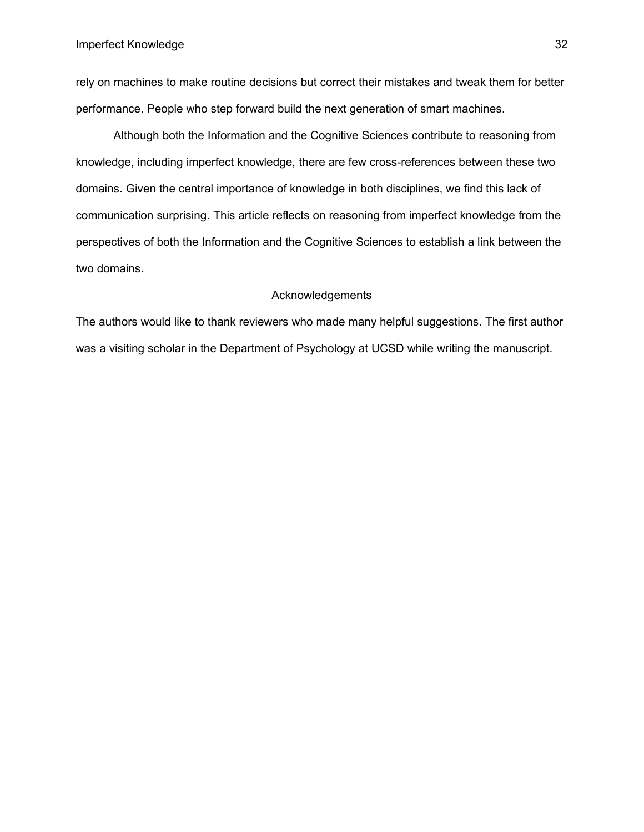rely on machines to make routine decisions but correct their mistakes and tweak them for better performance. People who step forward build the next generation of smart machines.

Although both the Information and the Cognitive Sciences contribute to reasoning from knowledge, including imperfect knowledge, there are few cross-references between these two domains. Given the central importance of knowledge in both disciplines, we find this lack of communication surprising. This article reflects on reasoning from imperfect knowledge from the perspectives of both the Information and the Cognitive Sciences to establish a link between the two domains.

## Acknowledgements

The authors would like to thank reviewers who made many helpful suggestions. The first author was a visiting scholar in the Department of Psychology at UCSD while writing the manuscript.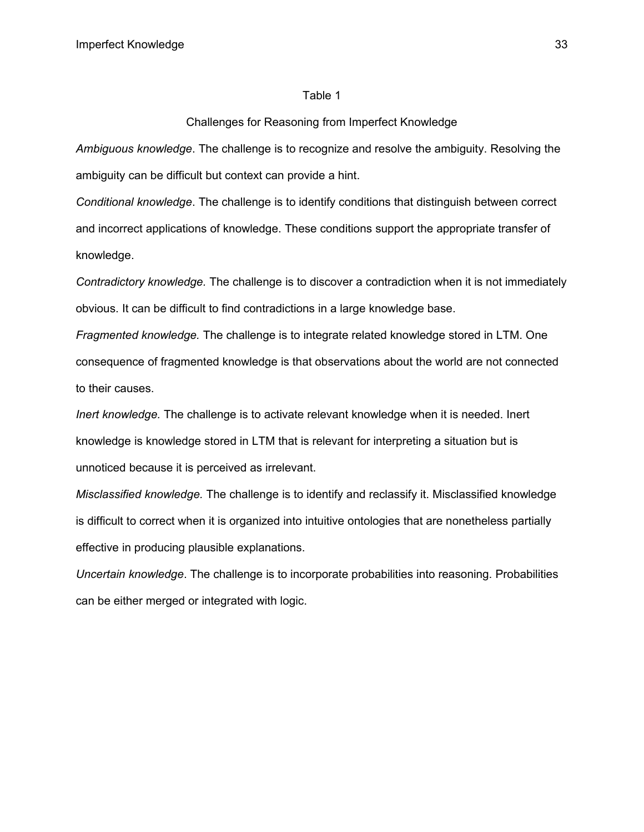#### Table 1

## Challenges for Reasoning from Imperfect Knowledge

*Ambiguous knowledge*. The challenge is to recognize and resolve the ambiguity. Resolving the ambiguity can be difficult but context can provide a hint.

*Conditional knowledge*. The challenge is to identify conditions that distinguish between correct and incorrect applications of knowledge. These conditions support the appropriate transfer of knowledge.

*Contradictory knowledge.* The challenge is to discover a contradiction when it is not immediately obvious. It can be difficult to find contradictions in a large knowledge base.

*Fragmented knowledge.* The challenge is to integrate related knowledge stored in LTM. One consequence of fragmented knowledge is that observations about the world are not connected to their causes.

*Inert knowledge.* The challenge is to activate relevant knowledge when it is needed. Inert knowledge is knowledge stored in LTM that is relevant for interpreting a situation but is unnoticed because it is perceived as irrelevant.

*Misclassified knowledge.* The challenge is to identify and reclassify it. Misclassified knowledge is difficult to correct when it is organized into intuitive ontologies that are nonetheless partially effective in producing plausible explanations.

*Uncertain knowledge*. The challenge is to incorporate probabilities into reasoning. Probabilities can be either merged or integrated with logic.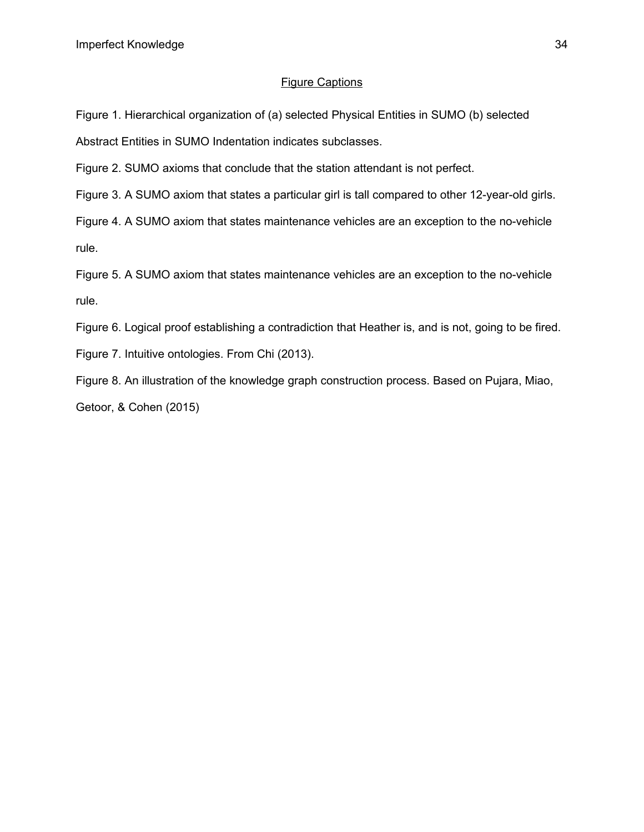## Figure Captions

Figure 1. Hierarchical organization of (a) selected Physical Entities in SUMO (b) selected Abstract Entities in SUMO Indentation indicates subclasses.

Figure 2. SUMO axioms that conclude that the station attendant is not perfect.

Figure 3. A SUMO axiom that states a particular girl is tall compared to other 12-year-old girls.

Figure 4. A SUMO axiom that states maintenance vehicles are an exception to the no-vehicle rule.

Figure 5. A SUMO axiom that states maintenance vehicles are an exception to the no-vehicle rule.

Figure 6. Logical proof establishing a contradiction that Heather is, and is not, going to be fired.

Figure 7. Intuitive ontologies. From Chi (2013).

Figure 8. An illustration of the knowledge graph construction process. Based on Pujara, Miao,

Getoor, & Cohen (2015)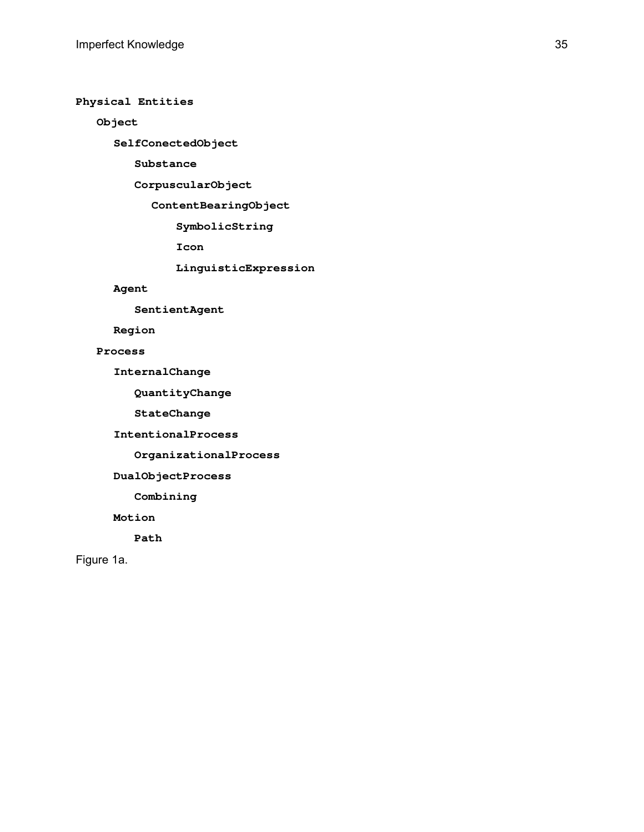**Physical Entities**

 **Object**

**SelfConectedObject**

 **Substance**

 **CorpuscularObject**

**ContentBearingObject**

 **SymbolicString**

 **Icon**

 **LinguisticExpression**

#### **Agent**

 **SentientAgent**

**Region**

 **Process**

**InternalChange**

 **QuantityChange**

 **StateChange**

**IntentionalProcess**

 **OrganizationalProcess**

**DualObjectProcess**

 **Combining**

**Motion**

 **Path**

Figure 1a.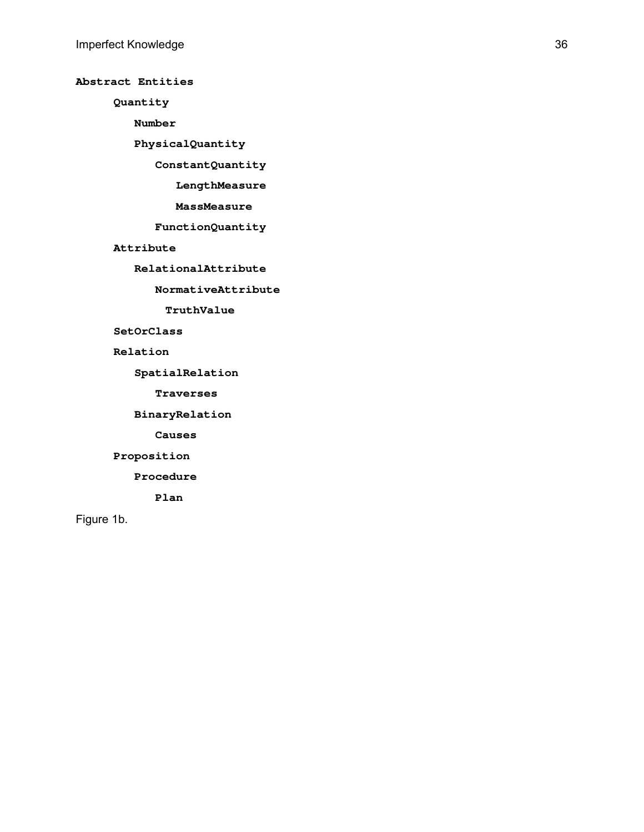## **Abstract Entities**

**Quantity**

 **Number**

 **PhysicalQuantity**

 **ConstantQuantity**

 **LengthMeasure**

 **MassMeasure**

 **FunctionQuantity**

**Attribute**

 **RelationalAttribute**

 **NormativeAttribute**

**TruthValue**

## **SetOrClass**

**Relation**

 **SpatialRelation**

 **Traverses**

 **BinaryRelation**

 **Causes**

**Proposition** 

 **Procedure**

 **Plan**

Figure 1b.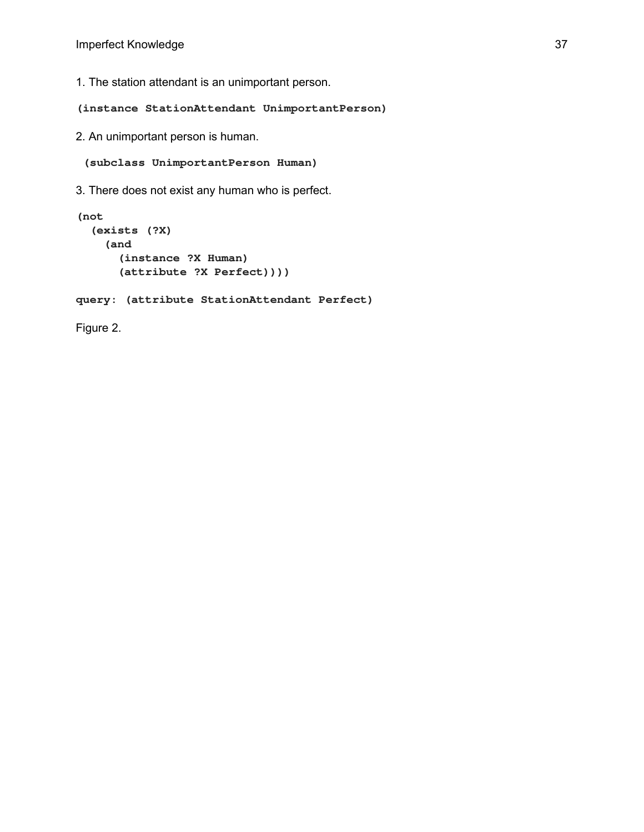1. The station attendant is an unimportant person.

**(instance StationAttendant UnimportantPerson)**

2. An unimportant person is human.

 **(subclass UnimportantPerson Human)**

3. There does not exist any human who is perfect.

```
(not
   (exists (?X)
     (and
       (instance ?X Human)
       (attribute ?X Perfect))))
query: (attribute StationAttendant Perfect)
Figure 2.
```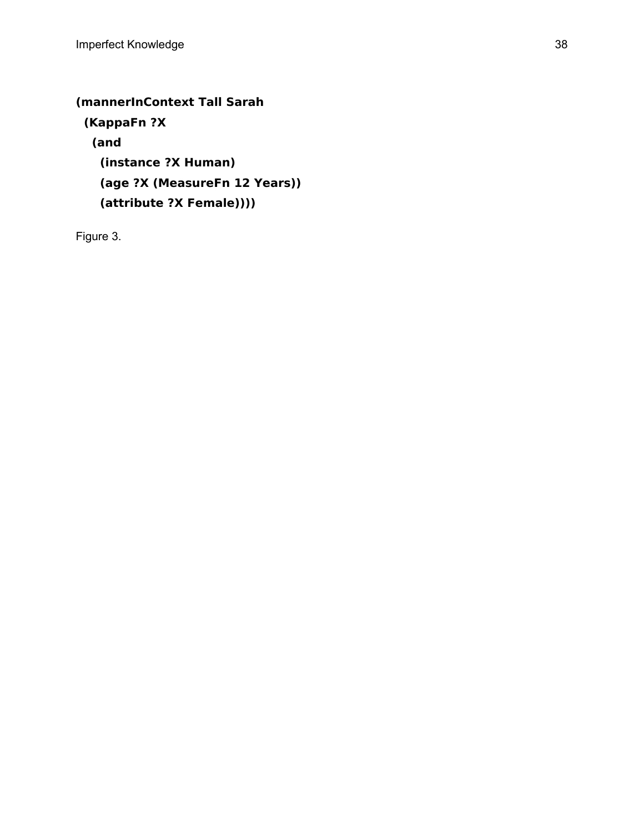# **(mannerInContext Tall Sarah**

 **(KappaFn ?X (and (instance ?X Human) (age ?X (MeasureFn 12 Years)) (attribute ?X Female))))**

Figure 3.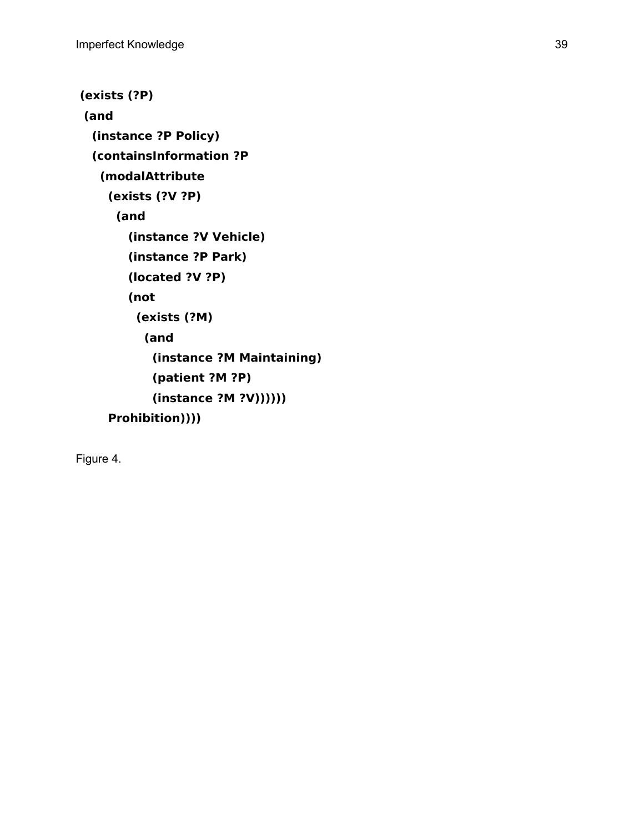```
 (exists (?P)
 (and
  (instance ?P Policy)
   (containsInformation ?P
    (modalAttribute
     (exists (?V ?P)
      (and
        (instance ?V Vehicle)
        (instance ?P Park)
        (located ?V ?P)
        (not
          (exists (?M)
           (and
            (instance ?M Maintaining)
            (patient ?M ?P)
            (instance ?M ?V))))))
     Prohibition))))
```
Figure 4.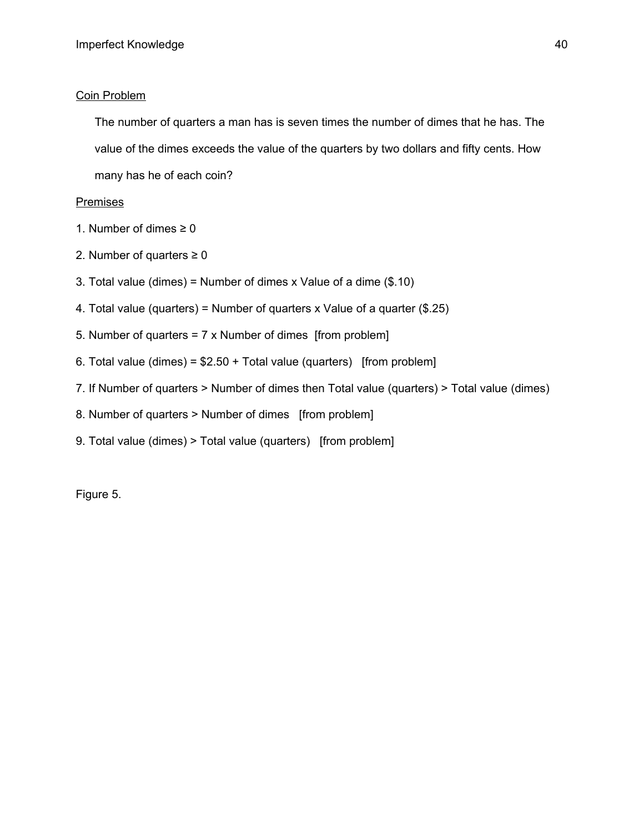## Coin Problem

The number of quarters a man has is seven times the number of dimes that he has. The value of the dimes exceeds the value of the quarters by two dollars and fifty cents. How many has he of each coin?

## **Premises**

- 1. Number of dimes  $\geq 0$
- 2. Number of quarters  $\geq 0$
- 3. Total value (dimes) = Number of dimes x Value of a dime (\$.10)
- 4. Total value (quarters) = Number of quarters x Value of a quarter (\$.25)
- 5. Number of quarters = 7 x Number of dimes [from problem]
- 6. Total value (dimes) =  $$2.50 + Total$  value (quarters) [from problem]
- 7. If Number of quarters > Number of dimes then Total value (quarters) > Total value (dimes)
- 8. Number of quarters > Number of dimes [from problem]
- 9. Total value (dimes) > Total value (quarters) [from problem]

Figure 5.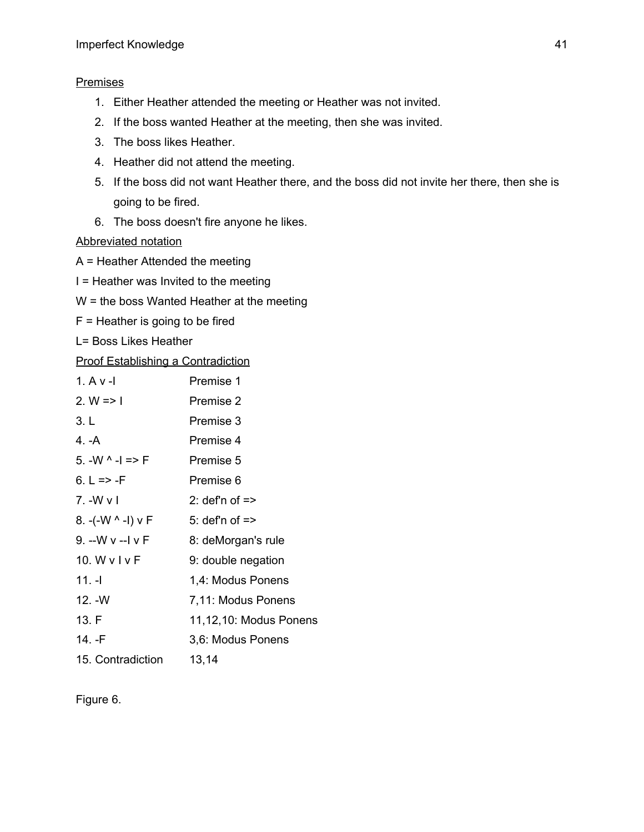## **Premises**

- 1. Either Heather attended the meeting or Heather was not invited.
- 2. If the boss wanted Heather at the meeting, then she was invited.
- 3. The boss likes Heather.
- 4. Heather did not attend the meeting.
- 5. If the boss did not want Heather there, and the boss did not invite her there, then she is going to be fired.
- 6. The boss doesn't fire anyone he likes.

Abbreviated notation

- A = Heather Attended the meeting
- I = Heather was Invited to the meeting
- W = the boss Wanted Heather at the meeting
- F = Heather is going to be fired
- L= Boss Likes Heather

## Proof Establishing a Contradiction

| $1. A v - I$         | Premise 1                 |
|----------------------|---------------------------|
| 2. $W \Rightarrow I$ | Premise 2                 |
| 3. L                 | Premise 3                 |
| 4. -A                | Premise 4                 |
| 5. $-W - 1 = > F$    | Premise 5                 |
| 6. L => -F           | Premise 6                 |
| 7. - W v I           | 2: def'n of $\Rightarrow$ |
| 8. -(-W ^ -I) v F    | 5: def'n of $\Rightarrow$ |
| 9. --W v --I v F     | 8: deMorgan's rule        |
| 10. W $v 1 v $ F     | 9: double negation        |
| 11. -I               | 1,4: Modus Ponens         |
| $12. -W$             | 7,11: Modus Ponens        |
| 13. F                | 11,12,10: Modus Ponens    |
| 14. -F               | 3,6: Modus Ponens         |
| 15. Contradiction    | 13,14                     |

# Figure 6.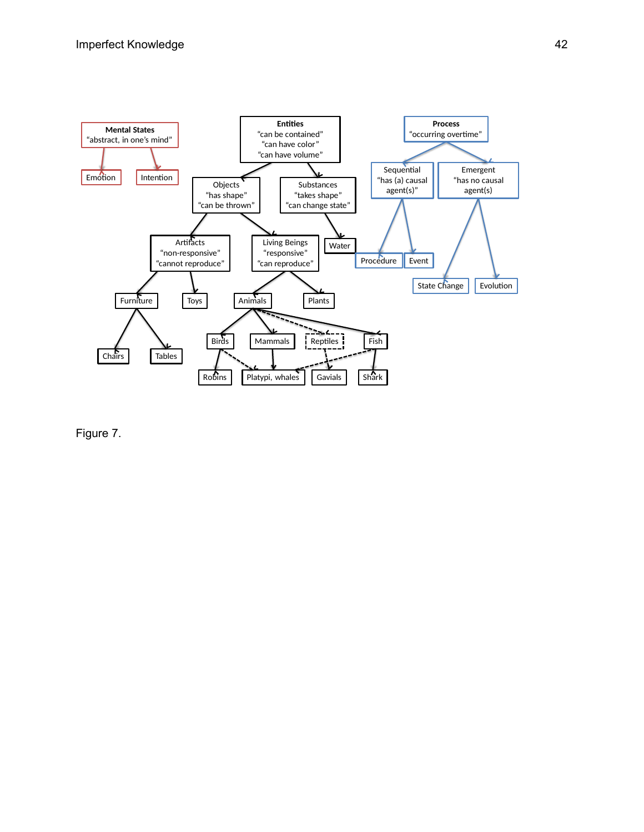

Figure 7.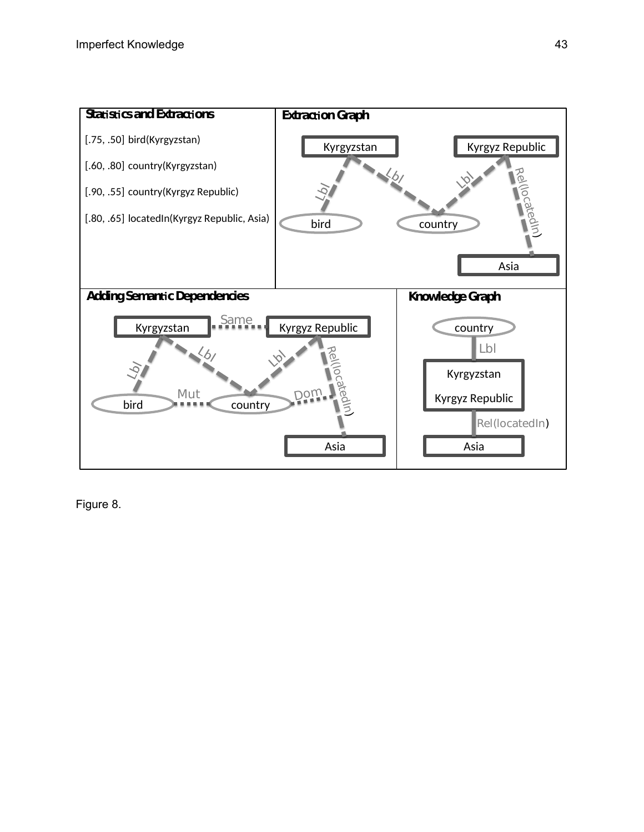

Figure 8.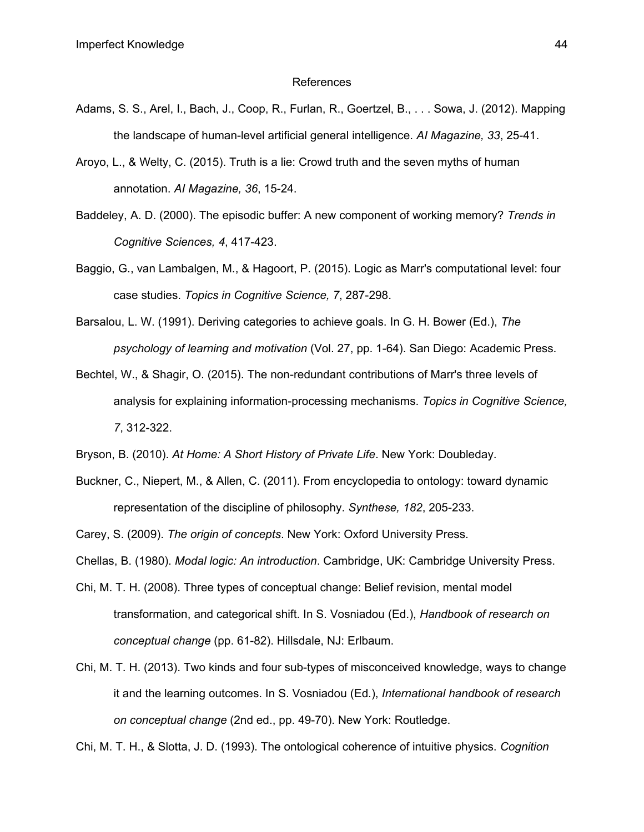#### References

- Adams, S. S., Arel, I., Bach, J., Coop, R., Furlan, R., Goertzel, B., . . . Sowa, J. (2012). Mapping the landscape of human-level artificial general intelligence. *AI Magazine, 33*, 25-41.
- Aroyo, L., & Welty, C. (2015). Truth is a lie: Crowd truth and the seven myths of human annotation. *AI Magazine, 36*, 15-24.
- Baddeley, A. D. (2000). The episodic buffer: A new component of working memory? *Trends in Cognitive Sciences, 4*, 417-423.
- Baggio, G., van Lambalgen, M., & Hagoort, P. (2015). Logic as Marr's computational level: four case studies. *Topics in Cognitive Science, 7*, 287-298.
- Barsalou, L. W. (1991). Deriving categories to achieve goals. In G. H. Bower (Ed.), *The psychology of learning and motivation* (Vol. 27, pp. 1-64). San Diego: Academic Press.
- Bechtel, W., & Shagir, O. (2015). The non-redundant contributions of Marr's three levels of analysis for explaining information-processing mechanisms. *Topics in Cognitive Science, 7*, 312-322.

Bryson, B. (2010). *At Home: A Short History of Private Life*. New York: Doubleday.

Buckner, C., Niepert, M., & Allen, C. (2011). From encyclopedia to ontology: toward dynamic representation of the discipline of philosophy. *Synthese, 182*, 205-233.

Carey, S. (2009). *The origin of concepts*. New York: Oxford University Press.

Chellas, B. (1980). *Modal logic: An introduction*. Cambridge, UK: Cambridge University Press.

- Chi, M. T. H. (2008). Three types of conceptual change: Belief revision, mental model transformation, and categorical shift. In S. Vosniadou (Ed.), *Handbook of research on conceptual change* (pp. 61-82). Hillsdale, NJ: Erlbaum.
- Chi, M. T. H. (2013). Two kinds and four sub-types of misconceived knowledge, ways to change it and the learning outcomes. In S. Vosniadou (Ed.), *International handbook of research on conceptual change* (2nd ed., pp. 49-70). New York: Routledge.

Chi, M. T. H., & Slotta, J. D. (1993). The ontological coherence of intuitive physics. *Cognition*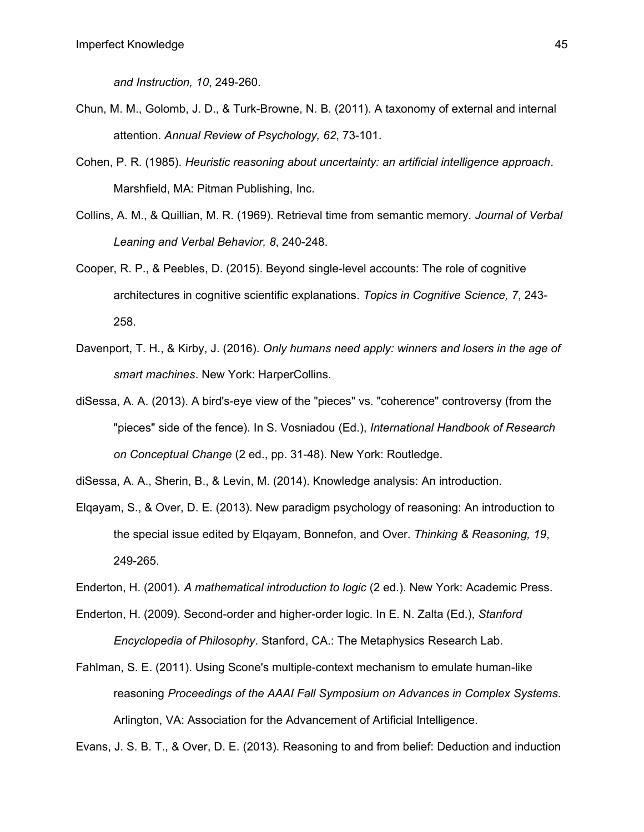*and Instruction, 10*, 249-260.

- Chun, M. M., Golomb, J. D., & Turk-Browne, N. B. (2011). A taxonomy of external and internal attention. *Annual Review of Psychology, 62*, 73-101.
- Cohen, P. R. (1985). *Heuristic reasoning about uncertainty: an artificial intelligence approach*. Marshfield, MA: Pitman Publishing, Inc.
- Collins, A. M., & Quillian, M. R. (1969). Retrieval time from semantic memory. *Journal of Verbal Leaning and Verbal Behavior, 8*, 240-248.
- Cooper, R. P., & Peebles, D. (2015). Beyond single-level accounts: The role of cognitive architectures in cognitive scientific explanations. *Topics in Cognitive Science, 7*, 243- 258.
- Davenport, T. H., & Kirby, J. (2016). *Only humans need apply: winners and losers in the age of smart machines*. New York: HarperCollins.
- diSessa, A. A. (2013). A bird's-eye view of the "pieces" vs. "coherence" controversy (from the "pieces" side of the fence). In S. Vosniadou (Ed.), *International Handbook of Research on Conceptual Change* (2 ed., pp. 31-48). New York: Routledge.

diSessa, A. A., Sherin, B., & Levin, M. (2014). Knowledge analysis: An introduction.

- Elqayam, S., & Over, D. E. (2013). New paradigm psychology of reasoning: An introduction to the special issue edited by Elqayam, Bonnefon, and Over. *Thinking & Reasoning, 19*, 249-265.
- Enderton, H. (2001). *A mathematical introduction to logic* (2 ed.). New York: Academic Press.
- Enderton, H. (2009). Second-order and higher-order logic. In E. N. Zalta (Ed.), *Stanford Encyclopedia of Philosophy*. Stanford, CA.: The Metaphysics Research Lab.
- Fahlman, S. E. (2011). Using Scone's multiple-context mechanism to emulate human-like reasoning *Proceedings of the AAAI Fall Symposium on Advances in Complex Systems*. Arlington, VA: Association for the Advancement of Artificial Intelligence.

Evans, J. S. B. T., & Over, D. E. (2013). Reasoning to and from belief: Deduction and induction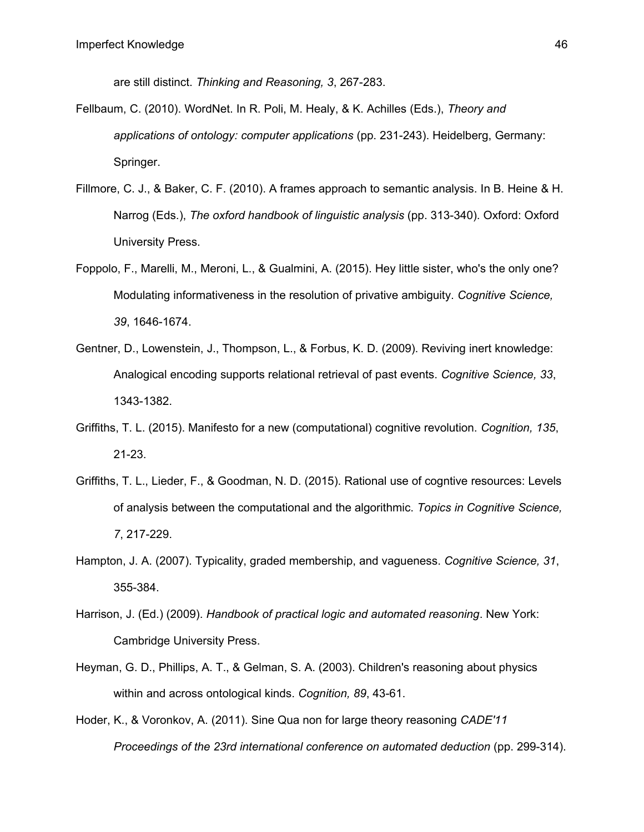are still distinct. *Thinking and Reasoning, 3*, 267-283.

- Fellbaum, C. (2010). WordNet. In R. Poli, M. Healy, & K. Achilles (Eds.), *Theory and applications of ontology: computer applications* (pp. 231-243). Heidelberg, Germany: Springer.
- Fillmore, C. J., & Baker, C. F. (2010). A frames approach to semantic analysis. In B. Heine & H. Narrog (Eds.), *The oxford handbook of linguistic analysis* (pp. 313-340). Oxford: Oxford University Press.
- Foppolo, F., Marelli, M., Meroni, L., & Gualmini, A. (2015). Hey little sister, who's the only one? Modulating informativeness in the resolution of privative ambiguity. *Cognitive Science, 39*, 1646-1674.
- Gentner, D., Lowenstein, J., Thompson, L., & Forbus, K. D. (2009). Reviving inert knowledge: Analogical encoding supports relational retrieval of past events. *Cognitive Science, 33*, 1343-1382.
- Griffiths, T. L. (2015). Manifesto for a new (computational) cognitive revolution. *Cognition, 135*, 21-23.
- Griffiths, T. L., Lieder, F., & Goodman, N. D. (2015). Rational use of cogntive resources: Levels of analysis between the computational and the algorithmic. *Topics in Cognitive Science, 7*, 217-229.
- Hampton, J. A. (2007). Typicality, graded membership, and vagueness. *Cognitive Science, 31*, 355-384.
- Harrison, J. (Ed.) (2009). *Handbook of practical logic and automated reasoning*. New York: Cambridge University Press.
- Heyman, G. D., Phillips, A. T., & Gelman, S. A. (2003). Children's reasoning about physics within and across ontological kinds. *Cognition, 89*, 43-61.
- Hoder, K., & Voronkov, A. (2011). Sine Qua non for large theory reasoning *CADE'11 Proceedings of the 23rd international conference on automated deduction* (pp. 299-314).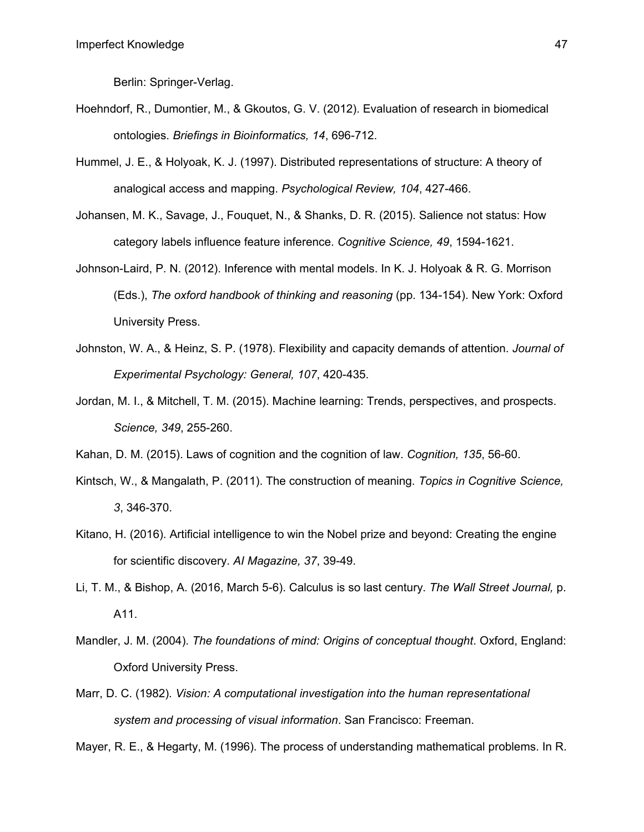Berlin: Springer-Verlag.

- Hoehndorf, R., Dumontier, M., & Gkoutos, G. V. (2012). Evaluation of research in biomedical ontologies. *Briefings in Bioinformatics, 14*, 696-712.
- Hummel, J. E., & Holyoak, K. J. (1997). Distributed representations of structure: A theory of analogical access and mapping. *Psychological Review, 104*, 427-466.
- Johansen, M. K., Savage, J., Fouquet, N., & Shanks, D. R. (2015). Salience not status: How category labels influence feature inference. *Cognitive Science, 49*, 1594-1621.
- Johnson-Laird, P. N. (2012). Inference with mental models. In K. J. Holyoak & R. G. Morrison (Eds.), *The oxford handbook of thinking and reasoning* (pp. 134-154). New York: Oxford University Press.
- Johnston, W. A., & Heinz, S. P. (1978). Flexibility and capacity demands of attention. *Journal of Experimental Psychology: General, 107*, 420-435.
- Jordan, M. I., & Mitchell, T. M. (2015). Machine learning: Trends, perspectives, and prospects. *Science, 349*, 255-260.
- Kahan, D. M. (2015). Laws of cognition and the cognition of law. *Cognition, 135*, 56-60.
- Kintsch, W., & Mangalath, P. (2011). The construction of meaning. *Topics in Cognitive Science, 3*, 346-370.
- Kitano, H. (2016). Artificial intelligence to win the Nobel prize and beyond: Creating the engine for scientific discovery. *AI Magazine, 37*, 39-49.
- Li, T. M., & Bishop, A. (2016, March 5-6). Calculus is so last century. *The Wall Street Journal,* p. A11.
- Mandler, J. M. (2004). *The foundations of mind: Origins of conceptual thought*. Oxford, England: Oxford University Press.
- Marr, D. C. (1982). *Vision: A computational investigation into the human representational system and processing of visual information*. San Francisco: Freeman.

Mayer, R. E., & Hegarty, M. (1996). The process of understanding mathematical problems. In R.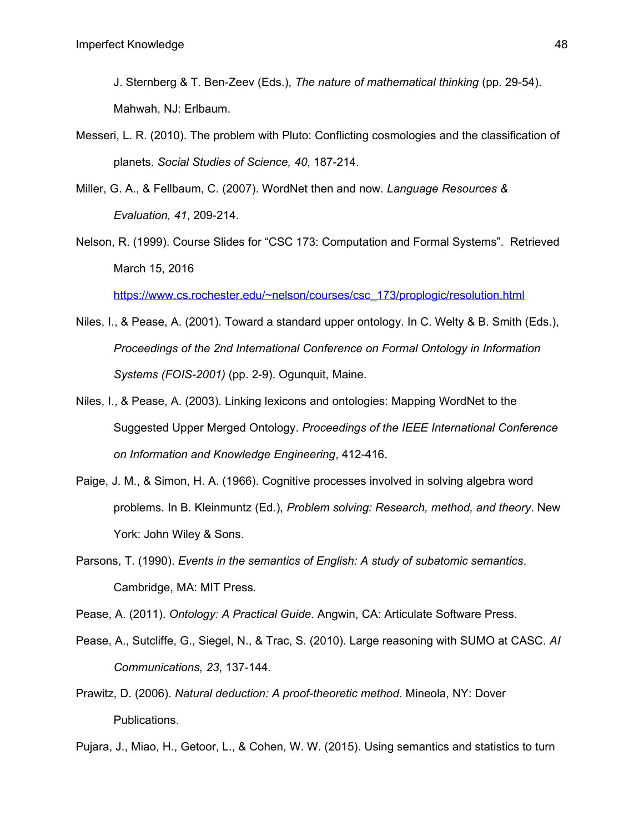J. Sternberg & T. Ben-Zeev (Eds.), *The nature of mathematical thinking* (pp. 29-54). Mahwah, NJ: Erlbaum.

- Messeri, L. R. (2010). The problem with Pluto: Conflicting cosmologies and the classification of planets. *Social Studies of Science, 40*, 187-214.
- Miller, G. A., & Fellbaum, C. (2007). WordNet then and now. *Language Resources & Evaluation, 41*, 209-214.
- Nelson, R. (1999). Course Slides for "CSC 173: Computation and Formal Systems". Retrieved March 15, 2016

[https://www.cs.rochester.edu/~nelson/courses/csc\\_173/proplogic/resolution.html](https://www.cs.rochester.edu/~nelson/courses/csc_173/proplogic/resolution.html)

- Niles, I., & Pease, A. (2001). Toward a standard upper ontology. In C. Welty & B. Smith (Eds.), *Proceedings of the 2nd International Conference on Formal Ontology in Information Systems (FOIS-2001)* (pp. 2-9). Ogunquit, Maine.
- Niles, I., & Pease, A. (2003). Linking lexicons and ontologies: Mapping WordNet to the Suggested Upper Merged Ontology. *Proceedings of the IEEE International Conference on Information and Knowledge Engineering*, 412-416.
- Paige, J. M., & Simon, H. A. (1966). Cognitive processes involved in solving algebra word problems. In B. Kleinmuntz (Ed.), *Problem solving: Research, method, and theory*. New York: John Wiley & Sons.
- Parsons, T. (1990). *Events in the semantics of English: A study of subatomic semantics*. Cambridge, MA: MIT Press.

Pease, A. (2011). *Ontology: A Practical Guide*. Angwin, CA: Articulate Software Press.

- Pease, A., Sutcliffe, G., Siegel, N., & Trac, S. (2010). Large reasoning with SUMO at CASC. *AI Communications, 23*, 137-144.
- Prawitz, D. (2006). *Natural deduction: A proof-theoretic method*. Mineola, NY: Dover Publications.
- Pujara, J., Miao, H., Getoor, L., & Cohen, W. W. (2015). Using semantics and statistics to turn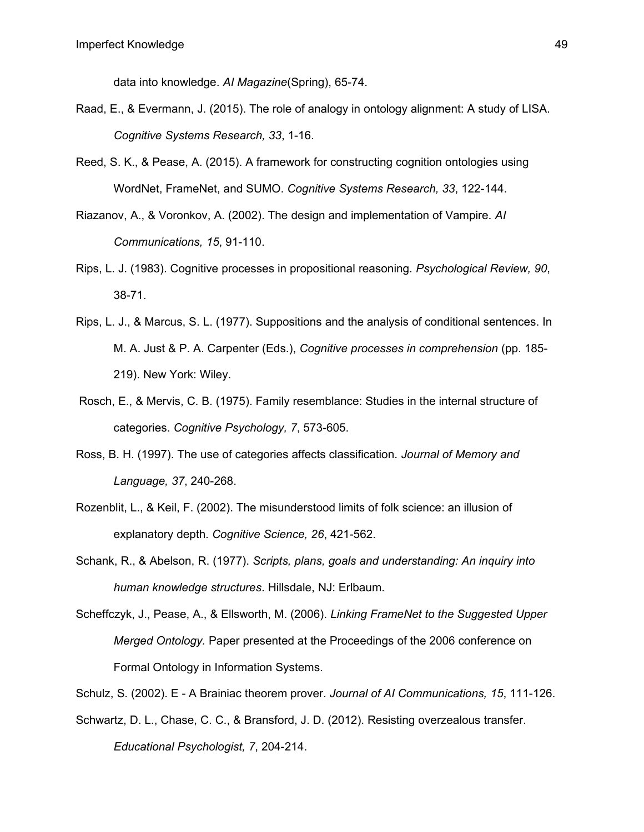data into knowledge. *AI Magazine*(Spring), 65-74.

- Raad, E., & Evermann, J. (2015). The role of analogy in ontology alignment: A study of LISA. *Cognitive Systems Research, 33*, 1-16.
- Reed, S. K., & Pease, A. (2015). A framework for constructing cognition ontologies using WordNet, FrameNet, and SUMO. *Cognitive Systems Research, 33*, 122-144.
- Riazanov, A., & Voronkov, A. (2002). The design and implementation of Vampire. *AI Communications, 15*, 91-110.
- Rips, L. J. (1983). Cognitive processes in propositional reasoning. *Psychological Review, 90*, 38-71.
- Rips, L. J., & Marcus, S. L. (1977). Suppositions and the analysis of conditional sentences. In M. A. Just & P. A. Carpenter (Eds.), *Cognitive processes in comprehension* (pp. 185- 219). New York: Wiley.
- Rosch, E., & Mervis, C. B. (1975). Family resemblance: Studies in the internal structure of categories. *Cognitive Psychology, 7*, 573-605.
- Ross, B. H. (1997). The use of categories affects classification. *Journal of Memory and Language, 37*, 240-268.
- Rozenblit, L., & Keil, F. (2002). The misunderstood limits of folk science: an illusion of explanatory depth. *Cognitive Science, 26*, 421-562.
- Schank, R., & Abelson, R. (1977). *Scripts, plans, goals and understanding: An inquiry into human knowledge structures*. Hillsdale, NJ: Erlbaum.
- Scheffczyk, J., Pease, A., & Ellsworth, M. (2006). *Linking FrameNet to the Suggested Upper Merged Ontology.* Paper presented at the Proceedings of the 2006 conference on Formal Ontology in Information Systems.
- Schulz, S. (2002). E A Brainiac theorem prover. *Journal of AI Communications, 15*, 111-126.
- Schwartz, D. L., Chase, C. C., & Bransford, J. D. (2012). Resisting overzealous transfer. *Educational Psychologist, 7*, 204-214.